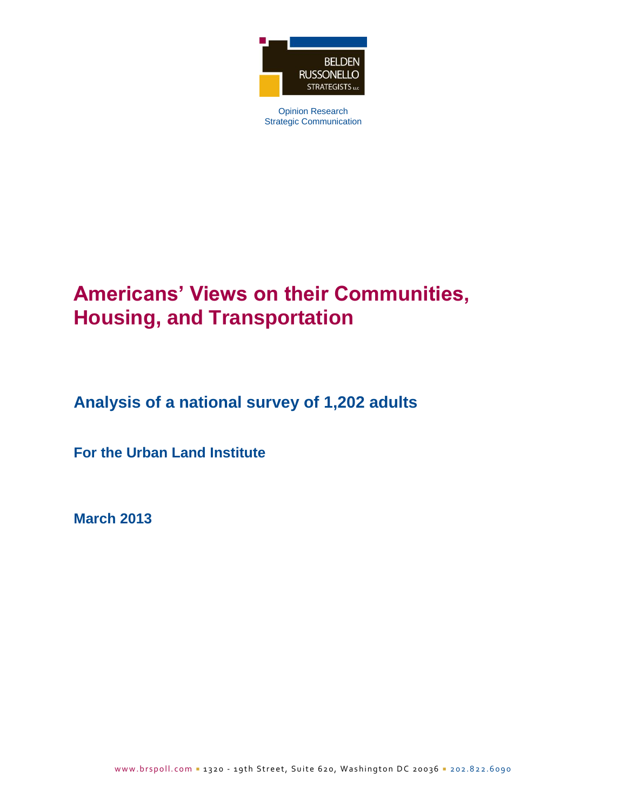

Opinion Research Strategic Communication

# **Americans' Views on their Communities, Housing, and Transportation**

**Analysis of a national survey of 1,202 adults**

**For the Urban Land Institute**

**March 2013**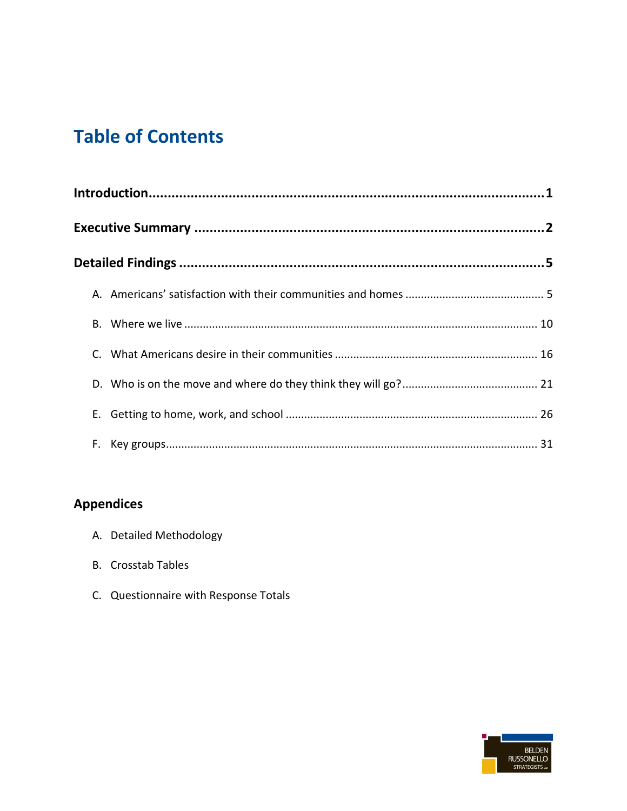# **Table of Contents**

## **Appendices**

- A. Detailed Methodology
- **B.** Crosstab Tables
- C. Questionnaire with Response Totals

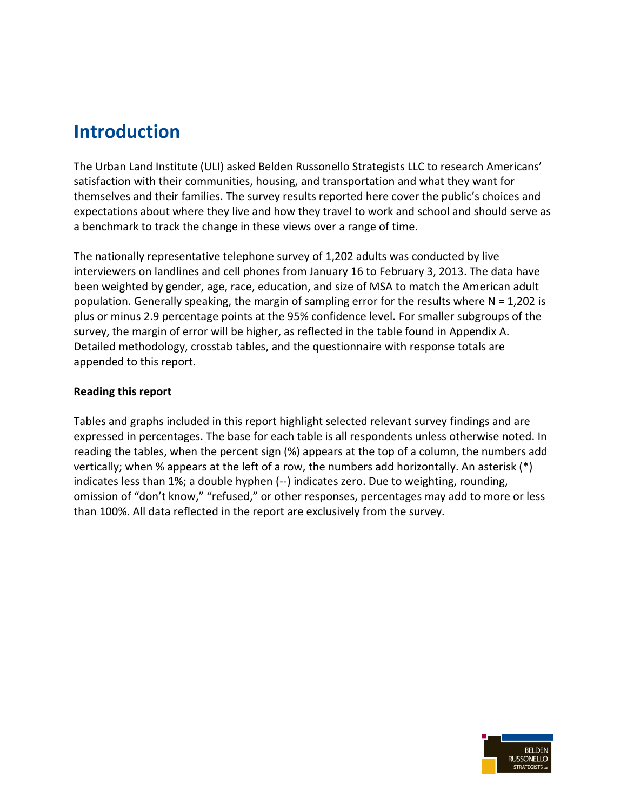# **Introduction**

The Urban Land Institute (ULI) asked Belden Russonello Strategists LLC to research Americans' satisfaction with their communities, housing, and transportation and what they want for themselves and their families. The survey results reported here cover the public's choices and expectations about where they live and how they travel to work and school and should serve as a benchmark to track the change in these views over a range of time.

The nationally representative telephone survey of 1,202 adults was conducted by live interviewers on landlines and cell phones from January 16 to February 3, 2013. The data have been weighted by gender, age, race, education, and size of MSA to match the American adult population. Generally speaking, the margin of sampling error for the results where  $N = 1,202$  is plus or minus 2.9 percentage points at the 95% confidence level. For smaller subgroups of the survey, the margin of error will be higher, as reflected in the table found in Appendix A. Detailed methodology, crosstab tables, and the questionnaire with response totals are appended to this report.

#### **Reading this report**

Tables and graphs included in this report highlight selected relevant survey findings and are expressed in percentages. The base for each table is all respondents unless otherwise noted. In reading the tables, when the percent sign (%) appears at the top of a column, the numbers add vertically; when % appears at the left of a row, the numbers add horizontally. An asterisk (\*) indicates less than 1%; a double hyphen (--) indicates zero. Due to weighting, rounding, omission of "don't know," "refused," or other responses, percentages may add to more or less than 100%. All data reflected in the report are exclusively from the survey.

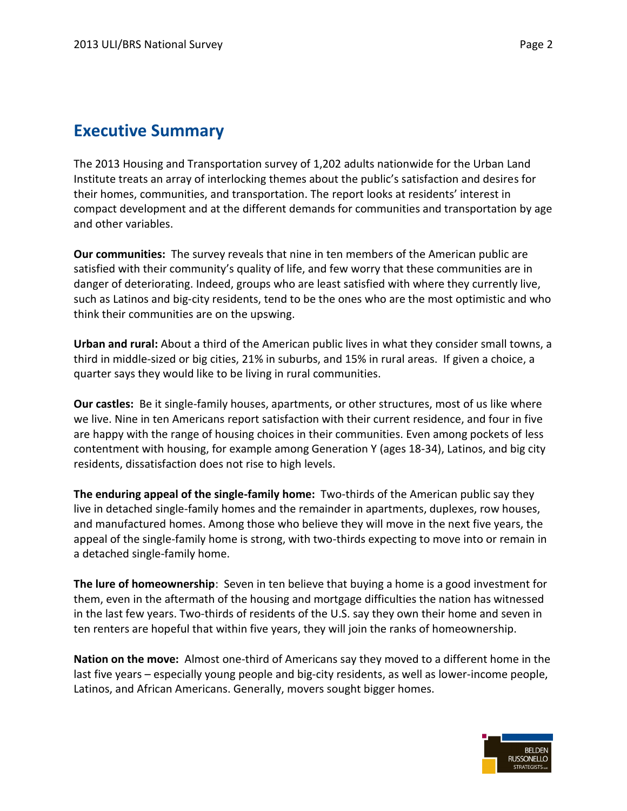## **Executive Summary**

The 2013 Housing and Transportation survey of 1,202 adults nationwide for the Urban Land Institute treats an array of interlocking themes about the public's satisfaction and desires for their homes, communities, and transportation. The report looks at residents' interest in compact development and at the different demands for communities and transportation by age and other variables.

**Our communities:** The survey reveals that nine in ten members of the American public are satisfied with their community's quality of life, and few worry that these communities are in danger of deteriorating. Indeed, groups who are least satisfied with where they currently live, such as Latinos and big-city residents, tend to be the ones who are the most optimistic and who think their communities are on the upswing.

**Urban and rural:** About a third of the American public lives in what they consider small towns, a third in middle-sized or big cities, 21% in suburbs, and 15% in rural areas. If given a choice, a quarter says they would like to be living in rural communities.

**Our castles:** Be it single-family houses, apartments, or other structures, most of us like where we live. Nine in ten Americans report satisfaction with their current residence, and four in five are happy with the range of housing choices in their communities. Even among pockets of less contentment with housing, for example among Generation Y (ages 18-34), Latinos, and big city residents, dissatisfaction does not rise to high levels.

**The enduring appeal of the single-family home:** Two-thirds of the American public say they live in detached single-family homes and the remainder in apartments, duplexes, row houses, and manufactured homes. Among those who believe they will move in the next five years, the appeal of the single-family home is strong, with two-thirds expecting to move into or remain in a detached single-family home.

**The lure of homeownership**: Seven in ten believe that buying a home is a good investment for them, even in the aftermath of the housing and mortgage difficulties the nation has witnessed in the last few years. Two-thirds of residents of the U.S. say they own their home and seven in ten renters are hopeful that within five years, they will join the ranks of homeownership.

**Nation on the move:** Almost one-third of Americans say they moved to a different home in the last five years – especially young people and big-city residents, as well as lower-income people, Latinos, and African Americans. Generally, movers sought bigger homes.

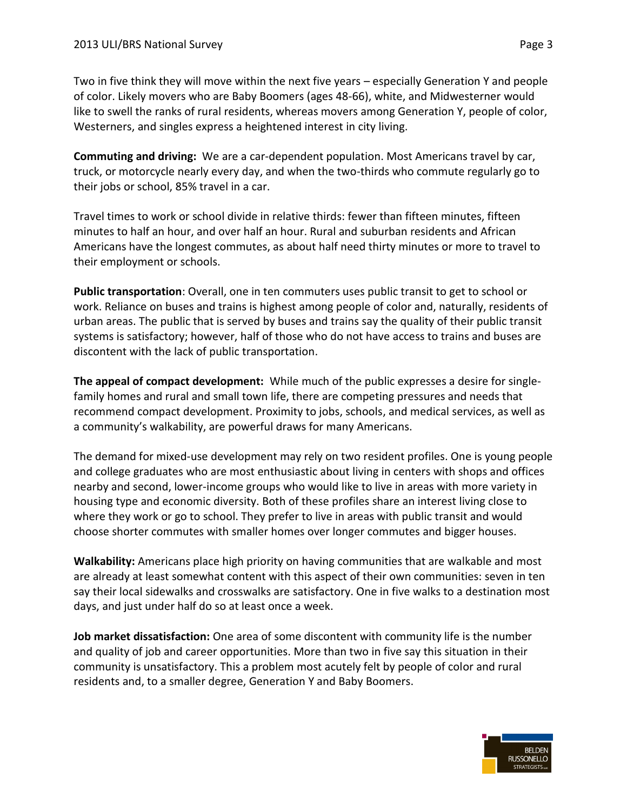Two in five think they will move within the next five years – especially Generation Y and people of color. Likely movers who are Baby Boomers (ages 48-66), white, and Midwesterner would like to swell the ranks of rural residents, whereas movers among Generation Y, people of color, Westerners, and singles express a heightened interest in city living.

**Commuting and driving:** We are a car-dependent population. Most Americans travel by car, truck, or motorcycle nearly every day, and when the two-thirds who commute regularly go to their jobs or school, 85% travel in a car.

Travel times to work or school divide in relative thirds: fewer than fifteen minutes, fifteen minutes to half an hour, and over half an hour. Rural and suburban residents and African Americans have the longest commutes, as about half need thirty minutes or more to travel to their employment or schools.

**Public transportation**: Overall, one in ten commuters uses public transit to get to school or work. Reliance on buses and trains is highest among people of color and, naturally, residents of urban areas. The public that is served by buses and trains say the quality of their public transit systems is satisfactory; however, half of those who do not have access to trains and buses are discontent with the lack of public transportation.

**The appeal of compact development:** While much of the public expresses a desire for singlefamily homes and rural and small town life, there are competing pressures and needs that recommend compact development. Proximity to jobs, schools, and medical services, as well as a community's walkability, are powerful draws for many Americans.

The demand for mixed-use development may rely on two resident profiles. One is young people and college graduates who are most enthusiastic about living in centers with shops and offices nearby and second, lower-income groups who would like to live in areas with more variety in housing type and economic diversity. Both of these profiles share an interest living close to where they work or go to school. They prefer to live in areas with public transit and would choose shorter commutes with smaller homes over longer commutes and bigger houses.

**Walkability:** Americans place high priority on having communities that are walkable and most are already at least somewhat content with this aspect of their own communities: seven in ten say their local sidewalks and crosswalks are satisfactory. One in five walks to a destination most days, and just under half do so at least once a week.

**Job market dissatisfaction:** One area of some discontent with community life is the number and quality of job and career opportunities. More than two in five say this situation in their community is unsatisfactory. This a problem most acutely felt by people of color and rural residents and, to a smaller degree, Generation Y and Baby Boomers.



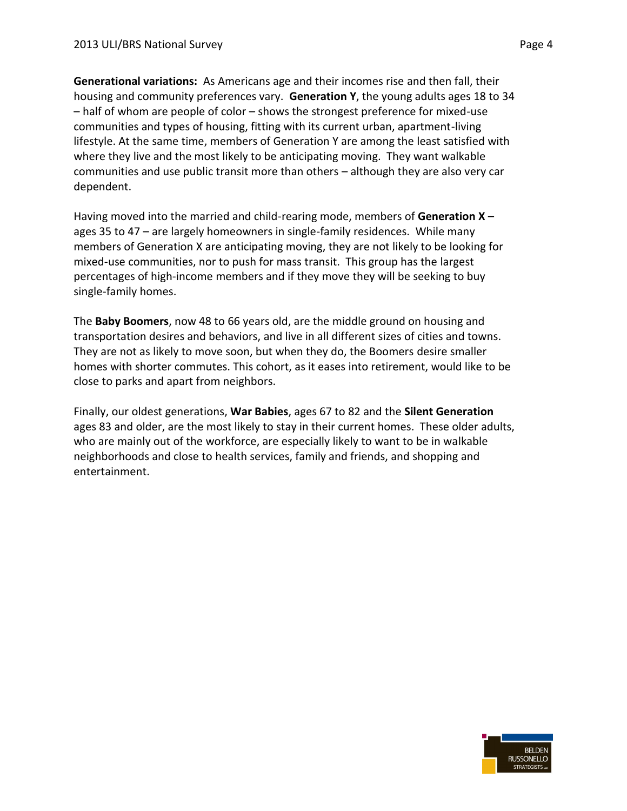**Generational variations:** As Americans age and their incomes rise and then fall, their housing and community preferences vary. **Generation Y**, the young adults ages 18 to 34 – half of whom are people of color – shows the strongest preference for mixed-use communities and types of housing, fitting with its current urban, apartment-living lifestyle. At the same time, members of Generation Y are among the least satisfied with where they live and the most likely to be anticipating moving. They want walkable communities and use public transit more than others – although they are also very car dependent.

Having moved into the married and child-rearing mode, members of **Generation X** – ages 35 to 47 – are largely homeowners in single-family residences. While many members of Generation X are anticipating moving, they are not likely to be looking for mixed-use communities, nor to push for mass transit. This group has the largest percentages of high-income members and if they move they will be seeking to buy single-family homes.

The **Baby Boomers**, now 48 to 66 years old, are the middle ground on housing and transportation desires and behaviors, and live in all different sizes of cities and towns. They are not as likely to move soon, but when they do, the Boomers desire smaller homes with shorter commutes. This cohort, as it eases into retirement, would like to be close to parks and apart from neighbors.

Finally, our oldest generations, **War Babies**, ages 67 to 82 and the **Silent Generation** ages 83 and older, are the most likely to stay in their current homes. These older adults, who are mainly out of the workforce, are especially likely to want to be in walkable neighborhoods and close to health services, family and friends, and shopping and entertainment.

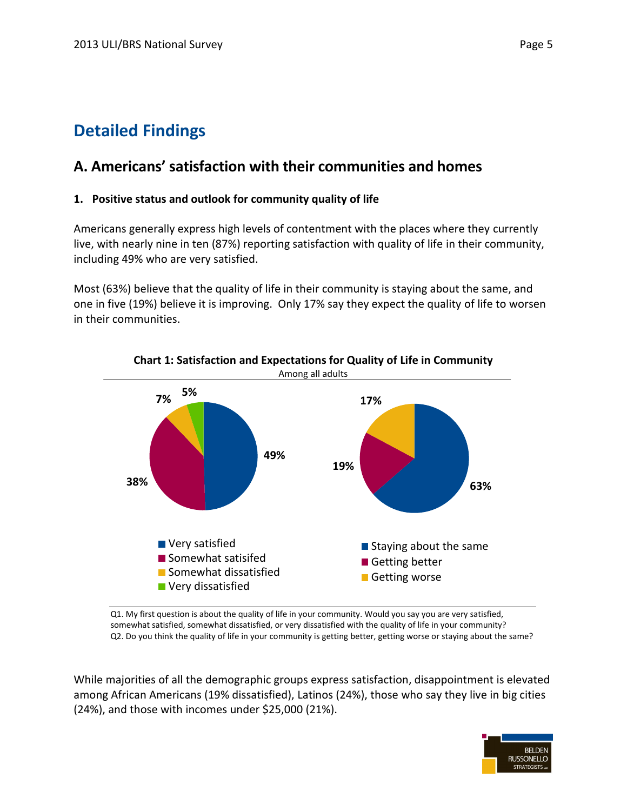# **Detailed Findings**

## **A. Americans' satisfaction with their communities and homes**

#### **1. Positive status and outlook for community quality of life**

Americans generally express high levels of contentment with the places where they currently live, with nearly nine in ten (87%) reporting satisfaction with quality of life in their community, including 49% who are very satisfied.

Most (63%) believe that the quality of life in their community is staying about the same, and one in five (19%) believe it is improving. Only 17% say they expect the quality of life to worsen in their communities.



**Chart 1: Satisfaction and Expectations for Quality of Life in Community**

Q1. My first question is about the quality of life in your community. Would you say you are very satisfied, somewhat satisfied, somewhat dissatisfied, or very dissatisfied with the quality of life in your community? Q2. Do you think the quality of life in your community is getting better, getting worse or staying about the same?

While majorities of all the demographic groups express satisfaction, disappointment is elevated among African Americans (19% dissatisfied), Latinos (24%), those who say they live in big cities (24%), and those with incomes under \$25,000 (21%).

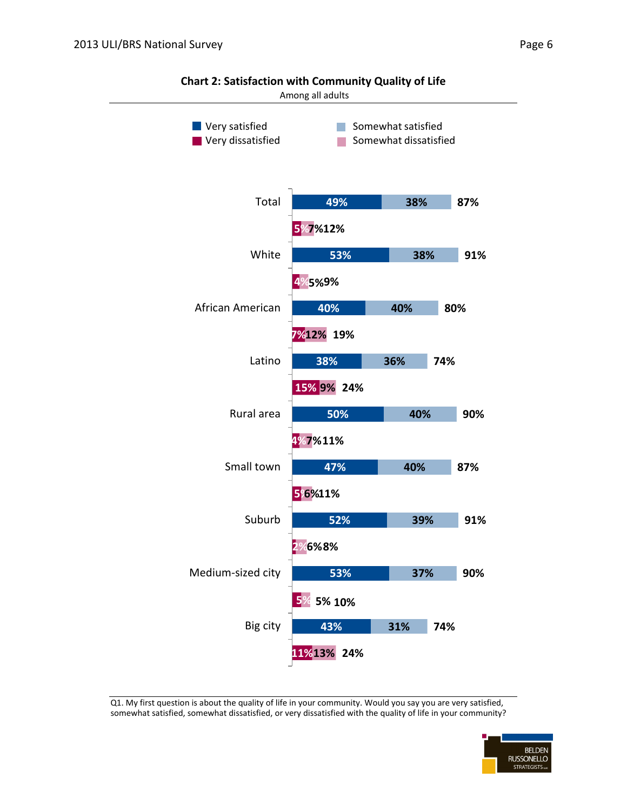

**Chart 2: Satisfaction with Community Quality of Life**

Q1. My first question is about the quality of life in your community. Would you say you are very satisfied, somewhat satisfied, somewhat dissatisfied, or very dissatisfied with the quality of life in your community?

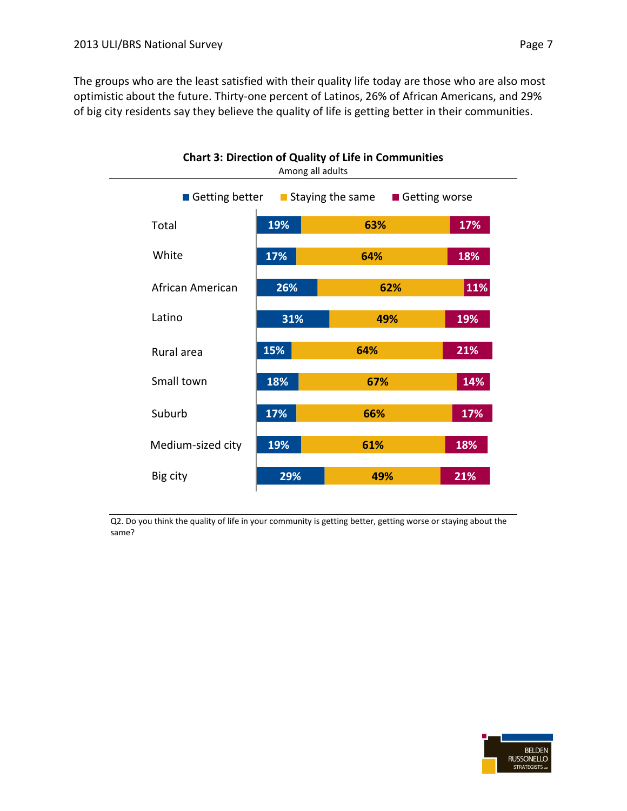The groups who are the least satisfied with their quality life today are those who are also most optimistic about the future. Thirty-one percent of Latinos, 26% of African Americans, and 29% of big city residents say they believe the quality of life is getting better in their communities.



Q2. Do you think the quality of life in your community is getting better, getting worse or staying about the same?

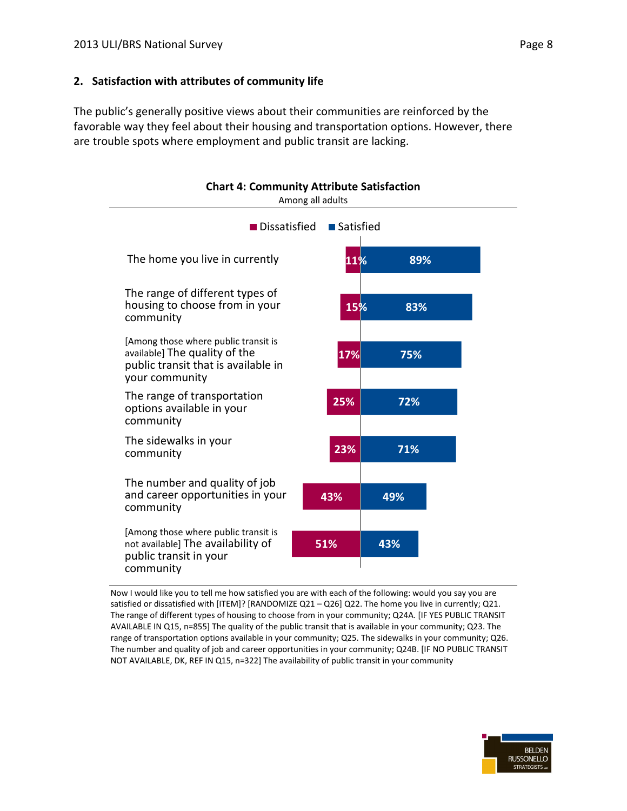#### **2. Satisfaction with attributes of community life**

The public's generally positive views about their communities are reinforced by the favorable way they feel about their housing and transportation options. However, there are trouble spots where employment and public transit are lacking.



Now I would like you to tell me how satisfied you are with each of the following: would you say you are satisfied or dissatisfied with [ITEM]? [RANDOMIZE Q21 – Q26] Q22. The home you live in currently; Q21. The range of different types of housing to choose from in your community; Q24A. [IF YES PUBLIC TRANSIT AVAILABLE IN Q15, n=855] The quality of the public transit that is available in your community; Q23. The range of transportation options available in your community; Q25. The sidewalks in your community; Q26. The number and quality of job and career opportunities in your community; Q24B. [IF NO PUBLIC TRANSIT NOT AVAILABLE, DK, REF IN Q15, n=322] The availability of public transit in your community

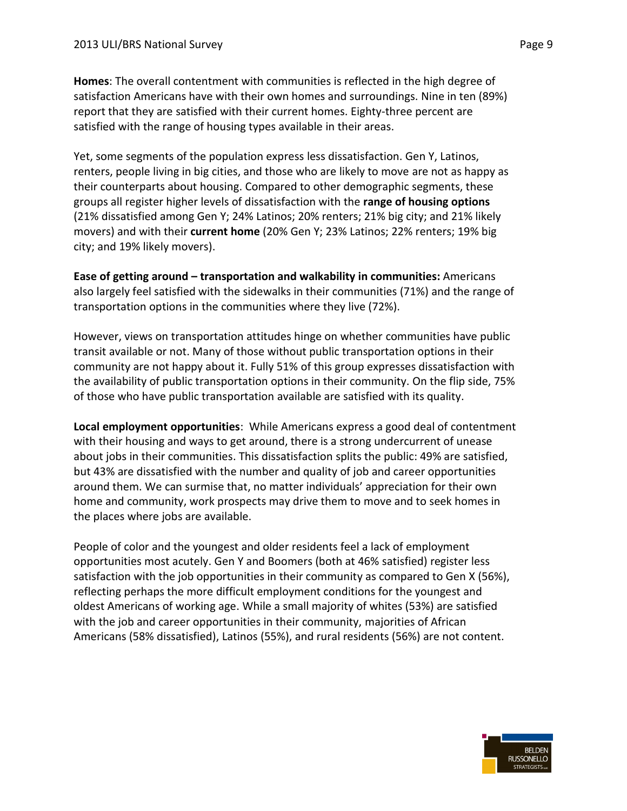**Homes**: The overall contentment with communities is reflected in the high degree of satisfaction Americans have with their own homes and surroundings. Nine in ten (89%) report that they are satisfied with their current homes. Eighty-three percent are satisfied with the range of housing types available in their areas.

Yet, some segments of the population express less dissatisfaction. Gen Y, Latinos, renters, people living in big cities, and those who are likely to move are not as happy as their counterparts about housing. Compared to other demographic segments, these groups all register higher levels of dissatisfaction with the **range of housing options** (21% dissatisfied among Gen Y; 24% Latinos; 20% renters; 21% big city; and 21% likely movers) and with their **current home** (20% Gen Y; 23% Latinos; 22% renters; 19% big city; and 19% likely movers).

**Ease of getting around – transportation and walkability in communities:** Americans also largely feel satisfied with the sidewalks in their communities (71%) and the range of transportation options in the communities where they live (72%).

However, views on transportation attitudes hinge on whether communities have public transit available or not. Many of those without public transportation options in their community are not happy about it. Fully 51% of this group expresses dissatisfaction with the availability of public transportation options in their community. On the flip side, 75% of those who have public transportation available are satisfied with its quality.

**Local employment opportunities**: While Americans express a good deal of contentment with their housing and ways to get around, there is a strong undercurrent of unease about jobs in their communities. This dissatisfaction splits the public: 49% are satisfied, but 43% are dissatisfied with the number and quality of job and career opportunities around them. We can surmise that, no matter individuals' appreciation for their own home and community, work prospects may drive them to move and to seek homes in the places where jobs are available.

People of color and the youngest and older residents feel a lack of employment opportunities most acutely. Gen Y and Boomers (both at 46% satisfied) register less satisfaction with the job opportunities in their community as compared to Gen X (56%), reflecting perhaps the more difficult employment conditions for the youngest and oldest Americans of working age. While a small majority of whites (53%) are satisfied with the job and career opportunities in their community, majorities of African Americans (58% dissatisfied), Latinos (55%), and rural residents (56%) are not content.

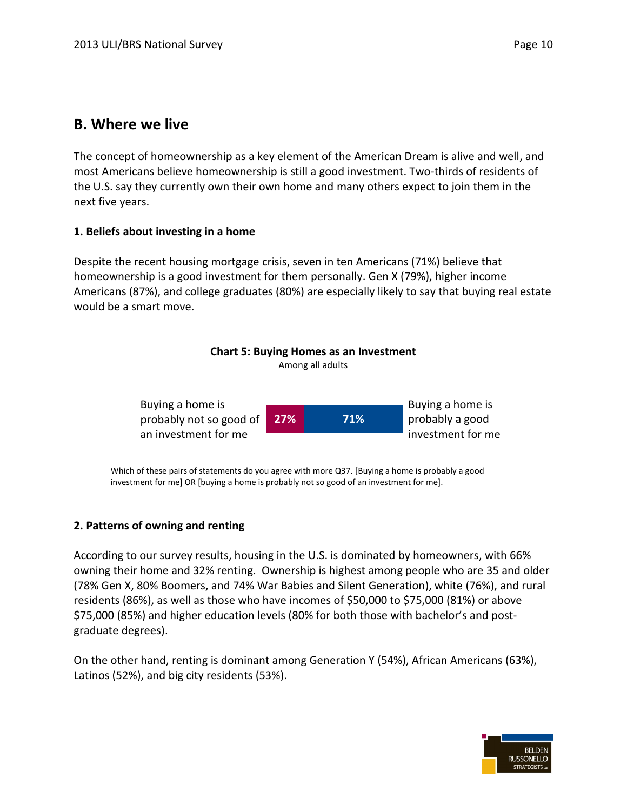### **B. Where we live**

The concept of homeownership as a key element of the American Dream is alive and well, and most Americans believe homeownership is still a good investment. Two-thirds of residents of the U.S. say they currently own their own home and many others expect to join them in the next five years.

#### **1. Beliefs about investing in a home**

Despite the recent housing mortgage crisis, seven in ten Americans (71%) believe that homeownership is a good investment for them personally. Gen X (79%), higher income Americans (87%), and college graduates (80%) are especially likely to say that buying real estate would be a smart move.



Which of these pairs of statements do you agree with more Q37. [Buying a home is probably a good investment for me] OR [buying a home is probably not so good of an investment for me].

#### **2. Patterns of owning and renting**

According to our survey results, housing in the U.S. is dominated by homeowners, with 66% owning their home and 32% renting. Ownership is highest among people who are 35 and older (78% Gen X, 80% Boomers, and 74% War Babies and Silent Generation), white (76%), and rural residents (86%), as well as those who have incomes of \$50,000 to \$75,000 (81%) or above \$75,000 (85%) and higher education levels (80% for both those with bachelor's and postgraduate degrees).

On the other hand, renting is dominant among Generation Y (54%), African Americans (63%), Latinos (52%), and big city residents (53%).

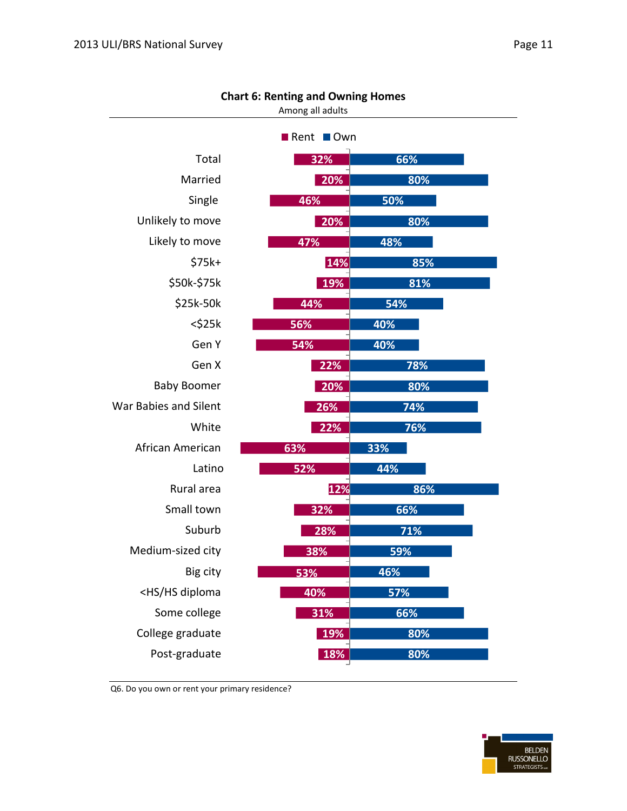| aσ<br>ο |  |
|---------|--|
|         |  |

| Chart 6: Renting and Owning Homes<br>Among all adults     |     |     |  |  |  |
|-----------------------------------------------------------|-----|-----|--|--|--|
| <b>■</b> Rent<br><b>■Own</b>                              |     |     |  |  |  |
| Total                                                     | 32% | 66% |  |  |  |
| Married                                                   | 20% | 80% |  |  |  |
| Single                                                    | 46% | 50% |  |  |  |
| Unlikely to move                                          | 20% | 80% |  |  |  |
| Likely to move                                            | 47% | 48% |  |  |  |
| $$75k+$                                                   | 14% | 85% |  |  |  |
| \$50k-\$75k                                               | 19% | 81% |  |  |  |
| \$25k-50k                                                 | 44% | 54% |  |  |  |
| $<$ \$25 $k$                                              | 56% | 40% |  |  |  |
| Gen Y                                                     | 54% | 40% |  |  |  |
| Gen X                                                     | 22% | 78% |  |  |  |
| <b>Baby Boomer</b>                                        | 20% | 80% |  |  |  |
| War Babies and Silent                                     | 26% | 74% |  |  |  |
| White                                                     | 22% | 76% |  |  |  |
| African American                                          | 63% | 33% |  |  |  |
| Latino                                                    | 52% | 44% |  |  |  |
| Rural area                                                | 12% | 86% |  |  |  |
| Small town                                                | 32% | 66% |  |  |  |
| Suburb                                                    | 28% | 71% |  |  |  |
| Medium-sized city                                         | 38% | 59% |  |  |  |
| Big city                                                  | 53% | 46% |  |  |  |
| <hs diploma<="" hs="" td=""><td>40%</td><td>57%</td></hs> | 40% | 57% |  |  |  |
| Some college                                              | 31% | 66% |  |  |  |
| College graduate                                          | 19% | 80% |  |  |  |
| Post-graduate                                             | 18% | 80% |  |  |  |

#### **Chart 6: Renting and Owning Homes**

Q6. Do you own or rent your primary residence?

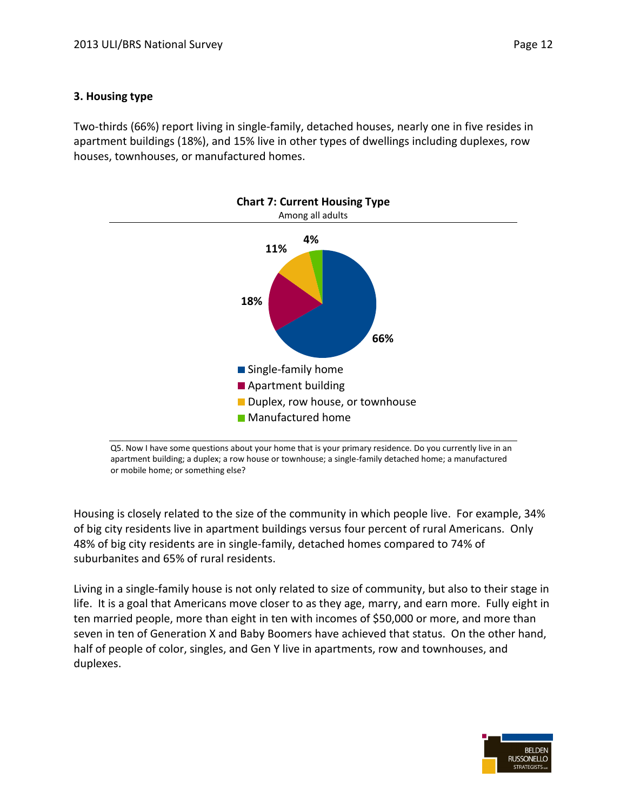Two-thirds (66%) report living in single-family, detached houses, nearly one in five resides in apartment buildings (18%), and 15% live in other types of dwellings including duplexes, row houses, townhouses, or manufactured homes.



Q5. Now I have some questions about your home that is your primary residence. Do you currently live in an apartment building; a duplex; a row house or townhouse; a single-family detached home; a manufactured or mobile home; or something else?

Housing is closely related to the size of the community in which people live. For example, 34% of big city residents live in apartment buildings versus four percent of rural Americans. Only 48% of big city residents are in single-family, detached homes compared to 74% of suburbanites and 65% of rural residents.

Living in a single-family house is not only related to size of community, but also to their stage in life. It is a goal that Americans move closer to as they age, marry, and earn more. Fully eight in ten married people, more than eight in ten with incomes of \$50,000 or more, and more than seven in ten of Generation X and Baby Boomers have achieved that status. On the other hand, half of people of color, singles, and Gen Y live in apartments, row and townhouses, and duplexes.

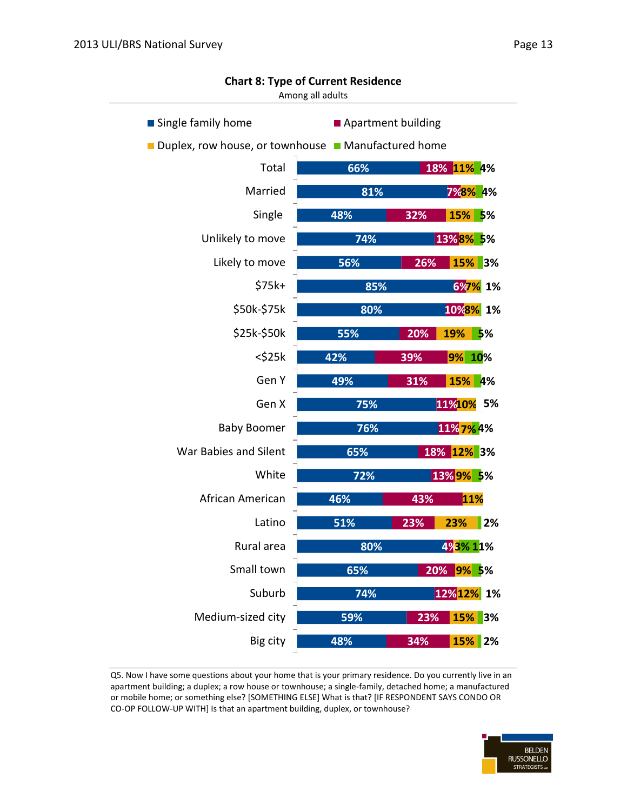| Single family home<br>Apartment building          |                   |          |  |  |  |  |
|---------------------------------------------------|-------------------|----------|--|--|--|--|
| Duplex, row house, or townhouse Manufactured home |                   |          |  |  |  |  |
| Total                                             | 66%<br>18% 11% 4% |          |  |  |  |  |
| Married                                           | 81%               | 7%8% 4%  |  |  |  |  |
| Single                                            | 48%<br>32%        | 15% 5%   |  |  |  |  |
| Unlikely to move                                  | 74%<br>13%8% 5%   |          |  |  |  |  |
| Likely to move                                    | 56%<br>26%        | 15% 3%   |  |  |  |  |
| \$75k+                                            | 85%               | 6%7% 1%  |  |  |  |  |
| \$50k-\$75k                                       | 80%               | 10%8% 1% |  |  |  |  |
| \$25k-\$50k                                       | 19%<br>55%<br>20% | 5%       |  |  |  |  |
| $<$ \$25 $k$                                      | 42%<br>39%        | 9% 10%   |  |  |  |  |
| Gen Y                                             | 49%<br>31%        | 15% 4%   |  |  |  |  |
| Gen X                                             | 11%10%<br>75%     | 5%       |  |  |  |  |
| <b>Baby Boomer</b>                                | 11% 7% 4%<br>76%  |          |  |  |  |  |
| War Babies and Silent                             | 18% 12% 3%<br>65% |          |  |  |  |  |
| White                                             | 13% 9% 5%<br>72%  |          |  |  |  |  |
| African American                                  | 46%<br>43%        | 11%      |  |  |  |  |
| Latino                                            | 51%<br>23%<br>23% | 2%       |  |  |  |  |
| Rural area                                        | 80%<br>4%3%11%    |          |  |  |  |  |
| Small town                                        | 65%<br>20% 9% 5%  |          |  |  |  |  |
| Suburb                                            | 12% 12% 1%<br>74% |          |  |  |  |  |
| Medium-sized city                                 | 59%<br>23%        | 15% 3%   |  |  |  |  |
| Big city                                          | 48%<br>34%        | 15% 2%   |  |  |  |  |
|                                                   |                   |          |  |  |  |  |

**Chart 8: Type of Current Residence**

Among all adults

Q5. Now I have some questions about your home that is your primary residence. Do you currently live in an apartment building; a duplex; a row house or townhouse; a single-family, detached home; a manufactured or mobile home; or something else? [SOMETHING ELSE] What is that? [IF RESPONDENT SAYS CONDO OR CO-OP FOLLOW-UP WITH] Is that an apartment building, duplex, or townhouse?

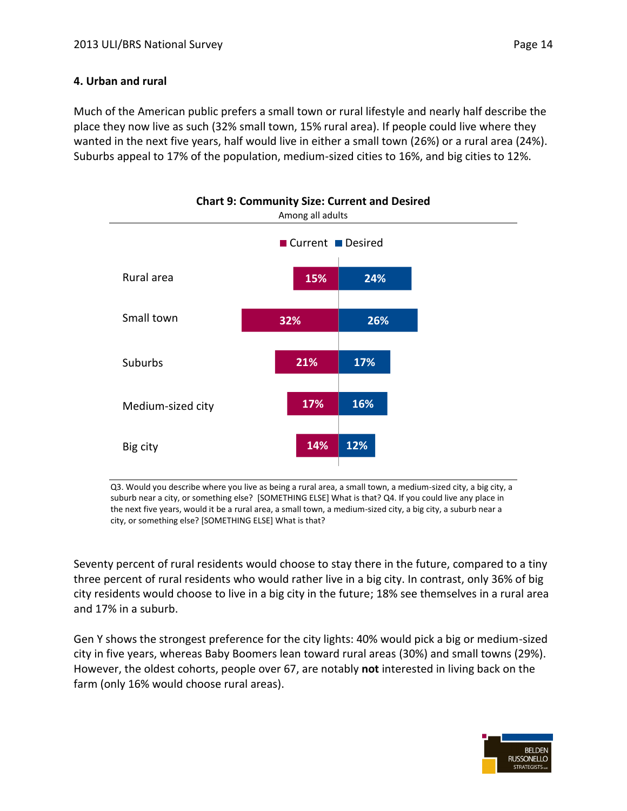#### **4. Urban and rural**

Much of the American public prefers a small town or rural lifestyle and nearly half describe the place they now live as such (32% small town, 15% rural area). If people could live where they wanted in the next five years, half would live in either a small town (26%) or a rural area (24%). Suburbs appeal to 17% of the population, medium-sized cities to 16%, and big cities to 12%.



Q3. Would you describe where you live as being a rural area, a small town, a medium-sized city, a big city, a suburb near a city, or something else? [SOMETHING ELSE] What is that? Q4. If you could live any place in the next five years, would it be a rural area, a small town, a medium-sized city, a big city, a suburb near a city, or something else? [SOMETHING ELSE] What is that?

Seventy percent of rural residents would choose to stay there in the future, compared to a tiny three percent of rural residents who would rather live in a big city. In contrast, only 36% of big city residents would choose to live in a big city in the future; 18% see themselves in a rural area and 17% in a suburb.

Gen Y shows the strongest preference for the city lights: 40% would pick a big or medium-sized city in five years, whereas Baby Boomers lean toward rural areas (30%) and small towns (29%). However, the oldest cohorts, people over 67, are notably **not** interested in living back on the farm (only 16% would choose rural areas).

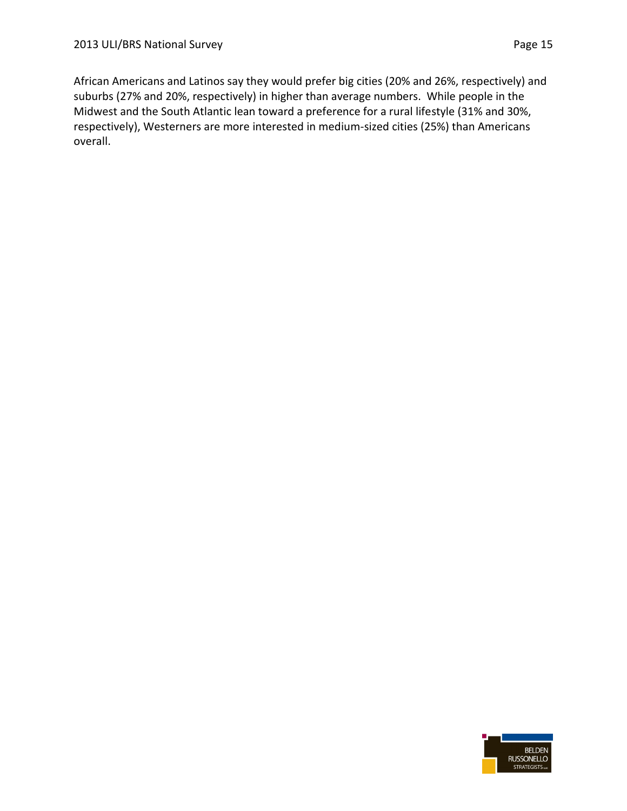African Americans and Latinos say they would prefer big cities (20% and 26%, respectively) and suburbs (27% and 20%, respectively) in higher than average numbers. While people in the Midwest and the South Atlantic lean toward a preference for a rural lifestyle (31% and 30%, respectively), Westerners are more interested in medium-sized cities (25%) than Americans overall.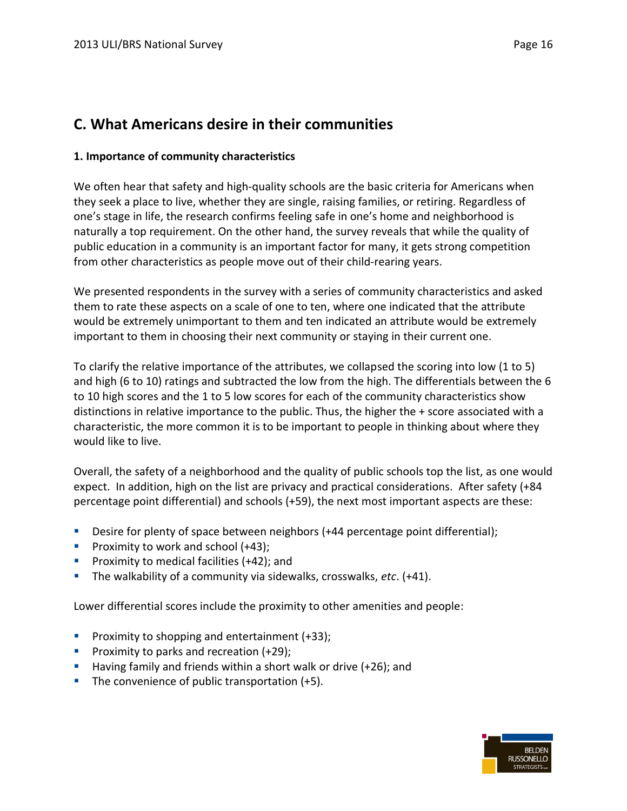### **C. What Americans desire in their communities**

#### **1. Importance of community characteristics**

We often hear that safety and high-quality schools are the basic criteria for Americans when they seek a place to live, whether they are single, raising families, or retiring. Regardless of one's stage in life, the research confirms feeling safe in one's home and neighborhood is naturally a top requirement. On the other hand, the survey reveals that while the quality of public education in a community is an important factor for many, it gets strong competition from other characteristics as people move out of their child-rearing years.

We presented respondents in the survey with a series of community characteristics and asked them to rate these aspects on a scale of one to ten, where one indicated that the attribute would be extremely unimportant to them and ten indicated an attribute would be extremely important to them in choosing their next community or staying in their current one.

To clarify the relative importance of the attributes, we collapsed the scoring into low (1 to 5) and high (6 to 10) ratings and subtracted the low from the high. The differentials between the 6 to 10 high scores and the 1 to 5 low scores for each of the community characteristics show distinctions in relative importance to the public. Thus, the higher the + score associated with a characteristic, the more common it is to be important to people in thinking about where they would like to live.

Overall, the safety of a neighborhood and the quality of public schools top the list, as one would expect. In addition, high on the list are privacy and practical considerations. After safety (+84 percentage point differential) and schools (+59), the next most important aspects are these:

- Desire for plenty of space between neighbors (+44 percentage point differential);
- Proximity to work and school  $(+43)$ ;
- **Proximity to medical facilities (+42); and**
- The walkability of a community via sidewalks, crosswalks, *etc*. (+41).

Lower differential scores include the proximity to other amenities and people:

- **Proximity to shopping and entertainment (+33);**
- **Proximity to parks and recreation**  $(+29)$ **;**
- **Having family and friends within a short walk or drive (+26); and**
- The convenience of public transportation  $(+5)$ .

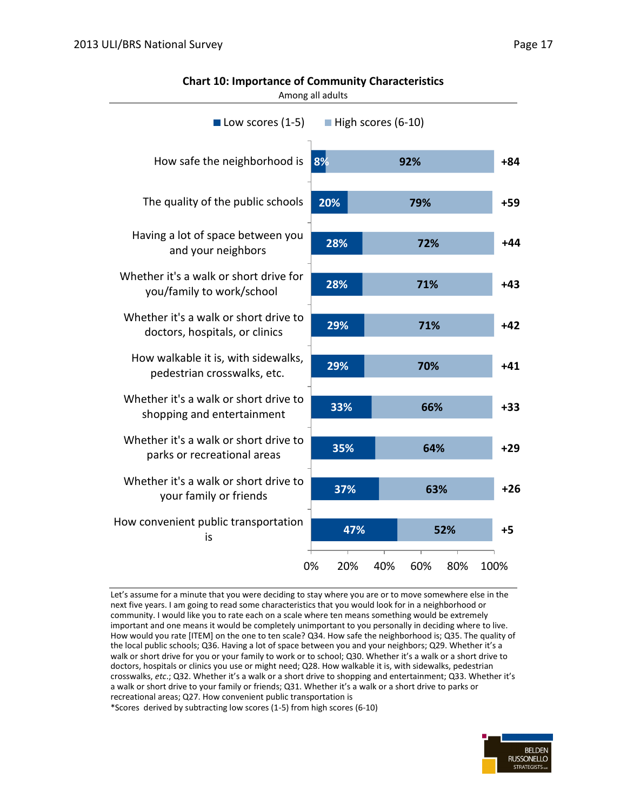| Among all adults                                                        |           |     |     |     |  |       |
|-------------------------------------------------------------------------|-----------|-----|-----|-----|--|-------|
| $\blacksquare$ High scores (6-10)<br>$\blacksquare$ Low scores (1-5)    |           |     |     |     |  |       |
| How safe the neighborhood is                                            | 8%        |     | 92% |     |  | +84   |
| The quality of the public schools                                       | 20%       |     | 79% |     |  | $+59$ |
| Having a lot of space between you<br>and your neighbors                 | 28%       |     | 72% |     |  | $+44$ |
| Whether it's a walk or short drive for<br>you/family to work/school     | 28%       |     | 71% |     |  | $+43$ |
| Whether it's a walk or short drive to<br>doctors, hospitals, or clinics | 29%       |     | 71% |     |  | $+42$ |
| How walkable it is, with sidewalks,<br>pedestrian crosswalks, etc.      | 29%       |     | 70% |     |  | $+41$ |
| Whether it's a walk or short drive to<br>shopping and entertainment     | 33%       |     | 66% |     |  | $+33$ |
| Whether it's a walk or short drive to<br>parks or recreational areas    | 35%       |     | 64% |     |  | $+29$ |
| Whether it's a walk or short drive to<br>your family or friends         | 37%       |     | 63% |     |  | $+26$ |
| How convenient public transportation<br>is                              | 47%       |     |     | 52% |  | +5    |
|                                                                         | 0%<br>20% | 40% | 60% | 80% |  | 100%  |

**Chart 10: Importance of Community Characteristics**

Let's assume for a minute that you were deciding to stay where you are or to move somewhere else in the next five years. I am going to read some characteristics that you would look for in a neighborhood or community. I would like you to rate each on a scale where ten means something would be extremely important and one means it would be completely unimportant to you personally in deciding where to live. How would you rate [ITEM] on the one to ten scale? Q34. How safe the neighborhood is; Q35. The quality of the local public schools; Q36. Having a lot of space between you and your neighbors; Q29. Whether it's a walk or short drive for you or your family to work or to school; Q30. Whether it's a walk or a short drive to doctors, hospitals or clinics you use or might need; Q28. How walkable it is, with sidewalks, pedestrian crosswalks, *etc*.; Q32. Whether it's a walk or a short drive to shopping and entertainment; Q33. Whether it's a walk or short drive to your family or friends; Q31. Whether it's a walk or a short drive to parks or recreational areas; Q27. How convenient public transportation is

\*Scores derived by subtracting low scores (1-5) from high scores (6-10)

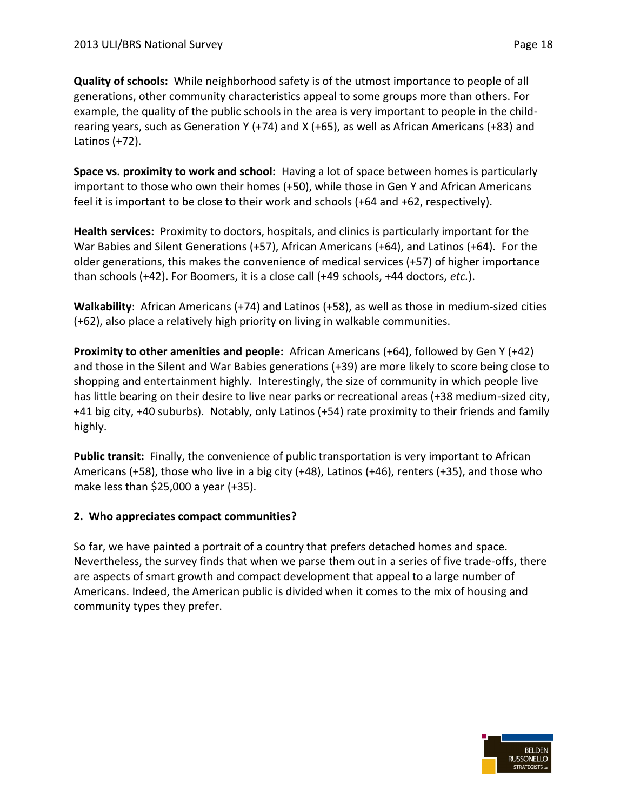**Quality of schools:** While neighborhood safety is of the utmost importance to people of all generations, other community characteristics appeal to some groups more than others. For example, the quality of the public schools in the area is very important to people in the childrearing years, such as Generation Y (+74) and X (+65), as well as African Americans (+83) and Latinos (+72).

**Space vs. proximity to work and school:** Having a lot of space between homes is particularly important to those who own their homes (+50), while those in Gen Y and African Americans feel it is important to be close to their work and schools (+64 and +62, respectively).

**Health services:** Proximity to doctors, hospitals, and clinics is particularly important for the War Babies and Silent Generations (+57), African Americans (+64), and Latinos (+64). For the older generations, this makes the convenience of medical services (+57) of higher importance than schools (+42). For Boomers, it is a close call (+49 schools, +44 doctors, *etc.*).

**Walkability**: African Americans (+74) and Latinos (+58), as well as those in medium-sized cities (+62), also place a relatively high priority on living in walkable communities.

**Proximity to other amenities and people:** African Americans (+64), followed by Gen Y (+42) and those in the Silent and War Babies generations (+39) are more likely to score being close to shopping and entertainment highly. Interestingly, the size of community in which people live has little bearing on their desire to live near parks or recreational areas (+38 medium-sized city, +41 big city, +40 suburbs). Notably, only Latinos (+54) rate proximity to their friends and family highly.

**Public transit:** Finally, the convenience of public transportation is very important to African Americans (+58), those who live in a big city (+48), Latinos (+46), renters (+35), and those who make less than \$25,000 a year (+35).

#### **2. Who appreciates compact communities?**

So far, we have painted a portrait of a country that prefers detached homes and space. Nevertheless, the survey finds that when we parse them out in a series of five trade-offs, there are aspects of smart growth and compact development that appeal to a large number of Americans. Indeed, the American public is divided when it comes to the mix of housing and community types they prefer.

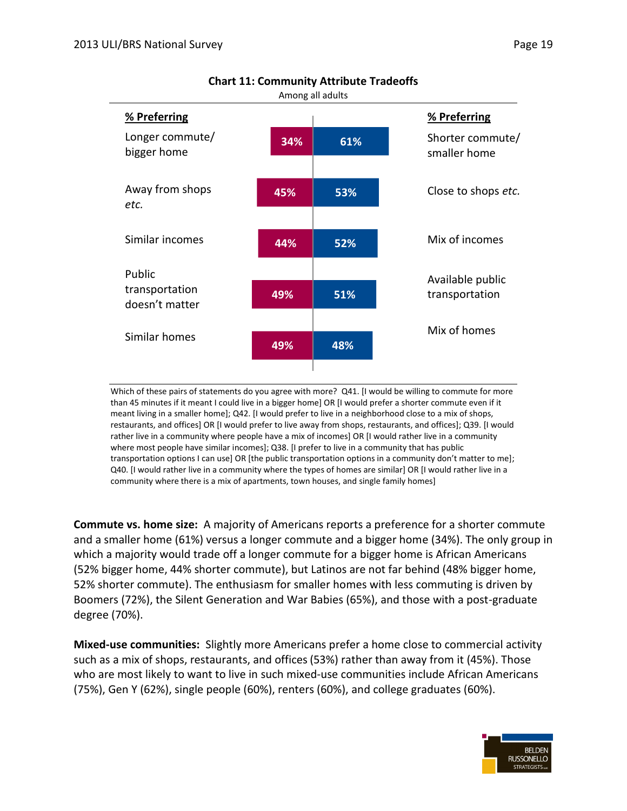| Among all adults                 |     |     |                                  |  |  |  |
|----------------------------------|-----|-----|----------------------------------|--|--|--|
| % Preferring                     |     |     | % Preferring                     |  |  |  |
| Longer commute/<br>bigger home   | 34% | 61% | Shorter commute/<br>smaller home |  |  |  |
| Away from shops<br>etc.          | 45% | 53% | Close to shops etc.              |  |  |  |
| Similar incomes                  | 44% | 52% | Mix of incomes                   |  |  |  |
| Public                           |     |     | Available public                 |  |  |  |
| transportation<br>doesn't matter | 49% | 51% | transportation                   |  |  |  |
|                                  |     |     | Mix of homes                     |  |  |  |
| Similar homes                    | 49% | 48% |                                  |  |  |  |
|                                  |     |     |                                  |  |  |  |

**Chart 11: Community Attribute Tradeoffs**

Which of these pairs of statements do you agree with more? Q41. [I would be willing to commute for more than 45 minutes if it meant I could live in a bigger home] OR [I would prefer a shorter commute even if it meant living in a smaller home]; Q42. [I would prefer to live in a neighborhood close to a mix of shops, restaurants, and offices] OR [I would prefer to live away from shops, restaurants, and offices]; Q39. [I would rather live in a community where people have a mix of incomes] OR [I would rather live in a community where most people have similar incomes]; Q38. [I prefer to live in a community that has public transportation options I can use] OR [the public transportation options in a community don't matter to me]; Q40. [I would rather live in a community where the types of homes are similar] OR [I would rather live in a community where there is a mix of apartments, town houses, and single family homes]

**Commute vs. home size:** A majority of Americans reports a preference for a shorter commute and a smaller home (61%) versus a longer commute and a bigger home (34%). The only group in which a majority would trade off a longer commute for a bigger home is African Americans (52% bigger home, 44% shorter commute), but Latinos are not far behind (48% bigger home, 52% shorter commute). The enthusiasm for smaller homes with less commuting is driven by Boomers (72%), the Silent Generation and War Babies (65%), and those with a post-graduate degree (70%).

**Mixed-use communities:** Slightly more Americans prefer a home close to commercial activity such as a mix of shops, restaurants, and offices (53%) rather than away from it (45%). Those who are most likely to want to live in such mixed-use communities include African Americans (75%), Gen Y (62%), single people (60%), renters (60%), and college graduates (60%).

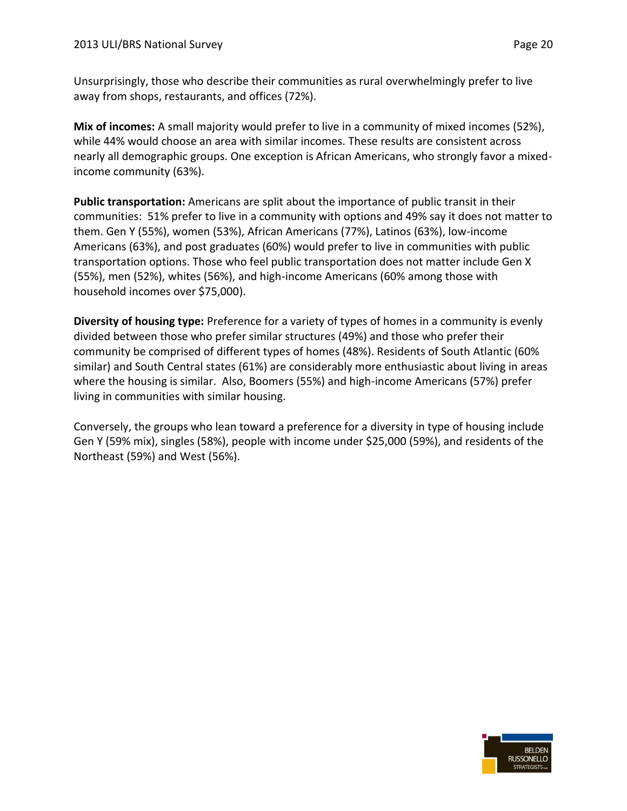Unsurprisingly, those who describe their communities as rural overwhelmingly prefer to live away from shops, restaurants, and offices (72%).

**Mix of incomes:** A small majority would prefer to live in a community of mixed incomes (52%), while 44% would choose an area with similar incomes. These results are consistent across nearly all demographic groups. One exception is African Americans, who strongly favor a mixedincome community (63%).

**Public transportation:** Americans are split about the importance of public transit in their communities: 51% prefer to live in a community with options and 49% say it does not matter to them. Gen Y (55%), women (53%), African Americans (77%), Latinos (63%), low-income Americans (63%), and post graduates (60%) would prefer to live in communities with public transportation options. Those who feel public transportation does not matter include Gen X (55%), men (52%), whites (56%), and high-income Americans (60% among those with household incomes over \$75,000).

**Diversity of housing type:** Preference for a variety of types of homes in a community is evenly divided between those who prefer similar structures (49%) and those who prefer their community be comprised of different types of homes (48%). Residents of South Atlantic (60% similar) and South Central states (61%) are considerably more enthusiastic about living in areas where the housing is similar. Also, Boomers (55%) and high-income Americans (57%) prefer living in communities with similar housing.

Conversely, the groups who lean toward a preference for a diversity in type of housing include Gen Y (59% mix), singles (58%), people with income under \$25,000 (59%), and residents of the Northeast (59%) and West (56%).

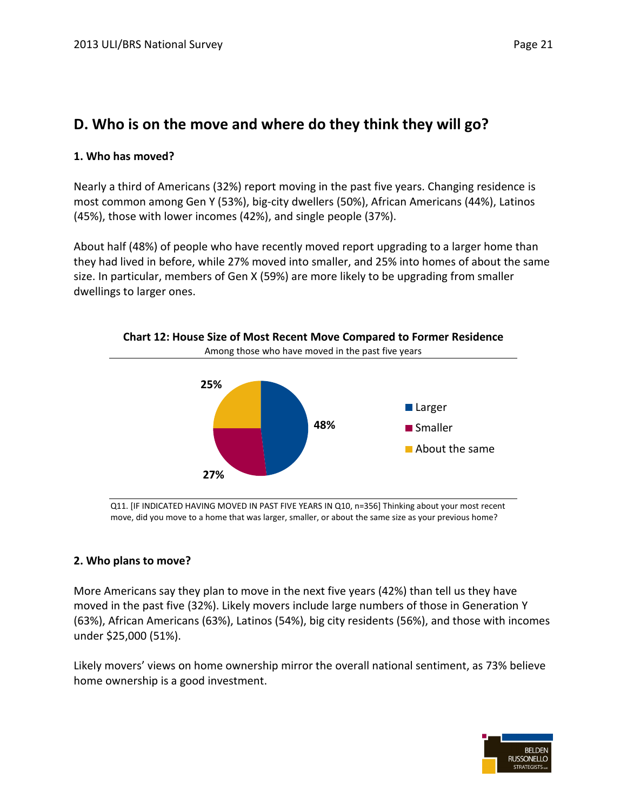## **D. Who is on the move and where do they think they will go?**

#### **1. Who has moved?**

Nearly a third of Americans (32%) report moving in the past five years. Changing residence is most common among Gen Y (53%), big-city dwellers (50%), African Americans (44%), Latinos (45%), those with lower incomes (42%), and single people (37%).

About half (48%) of people who have recently moved report upgrading to a larger home than they had lived in before, while 27% moved into smaller, and 25% into homes of about the same size. In particular, members of Gen X (59%) are more likely to be upgrading from smaller dwellings to larger ones.



Q11. [IF INDICATED HAVING MOVED IN PAST FIVE YEARS IN Q10, n=356] Thinking about your most recent move, did you move to a home that was larger, smaller, or about the same size as your previous home?

#### **2. Who plans to move?**

More Americans say they plan to move in the next five years (42%) than tell us they have moved in the past five (32%). Likely movers include large numbers of those in Generation Y (63%), African Americans (63%), Latinos (54%), big city residents (56%), and those with incomes under \$25,000 (51%).

Likely movers' views on home ownership mirror the overall national sentiment, as 73% believe home ownership is a good investment.

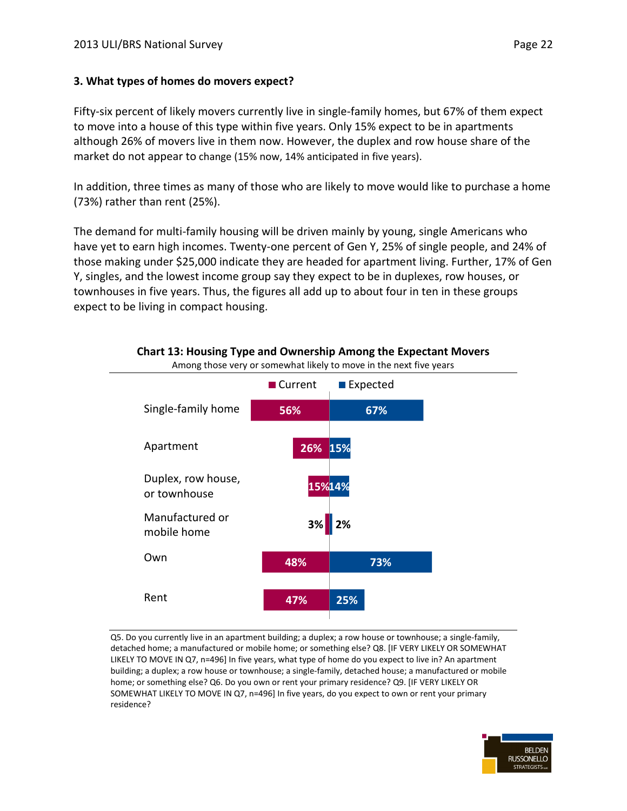#### **3. What types of homes do movers expect?**

Fifty-six percent of likely movers currently live in single-family homes, but 67% of them expect to move into a house of this type within five years. Only 15% expect to be in apartments although 26% of movers live in them now. However, the duplex and row house share of the market do not appear to change (15% now, 14% anticipated in five years).

In addition, three times as many of those who are likely to move would like to purchase a home (73%) rather than rent (25%).

The demand for multi-family housing will be driven mainly by young, single Americans who have yet to earn high incomes. Twenty-one percent of Gen Y, 25% of single people, and 24% of those making under \$25,000 indicate they are headed for apartment living. Further, 17% of Gen Y, singles, and the lowest income group say they expect to be in duplexes, row houses, or townhouses in five years. Thus, the figures all add up to about four in ten in these groups expect to be living in compact housing.



#### **Chart 13: Housing Type and Ownership Among the Expectant Movers**

Among those very or somewhat likely to move in the next five years

Q5. Do you currently live in an apartment building; a duplex; a row house or townhouse; a single-family, detached home; a manufactured or mobile home; or something else? Q8. [IF VERY LIKELY OR SOMEWHAT LIKELY TO MOVE IN Q7, n=496] In five years, what type of home do you expect to live in? An apartment building; a duplex; a row house or townhouse; a single-family, detached house; a manufactured or mobile home; or something else? Q6. Do you own or rent your primary residence? Q9. [IF VERY LIKELY OR SOMEWHAT LIKELY TO MOVE IN Q7, n=496] In five years, do you expect to own or rent your primary residence?

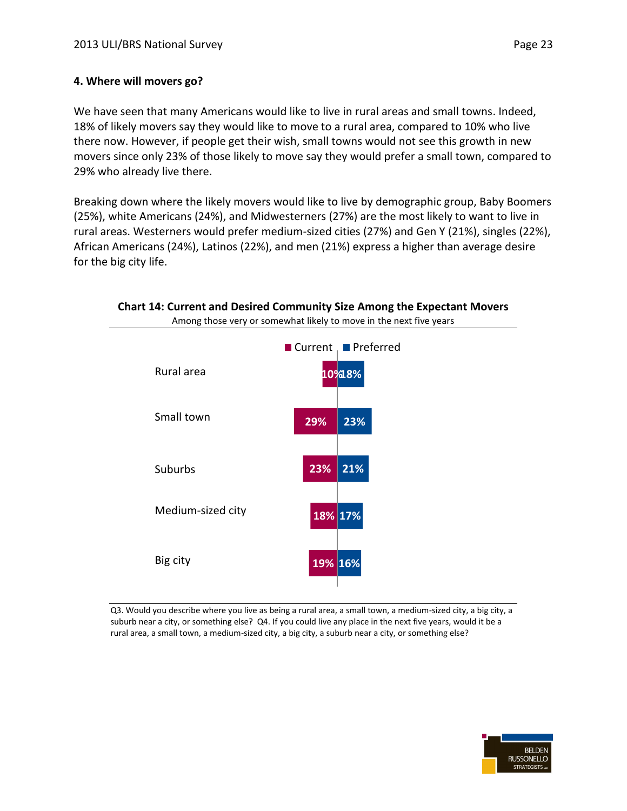#### **4. Where will movers go?**

We have seen that many Americans would like to live in rural areas and small towns. Indeed, 18% of likely movers say they would like to move to a rural area, compared to 10% who live there now. However, if people get their wish, small towns would not see this growth in new movers since only 23% of those likely to move say they would prefer a small town, compared to 29% who already live there.

Breaking down where the likely movers would like to live by demographic group, Baby Boomers (25%), white Americans (24%), and Midwesterners (27%) are the most likely to want to live in rural areas. Westerners would prefer medium-sized cities (27%) and Gen Y (21%), singles (22%), African Americans (24%), Latinos (22%), and men (21%) express a higher than average desire for the big city life.



Q3. Would you describe where you live as being a rural area, a small town, a medium-sized city, a big city, a suburb near a city, or something else? Q4. If you could live any place in the next five years, would it be a rural area, a small town, a medium-sized city, a big city, a suburb near a city, or something else?

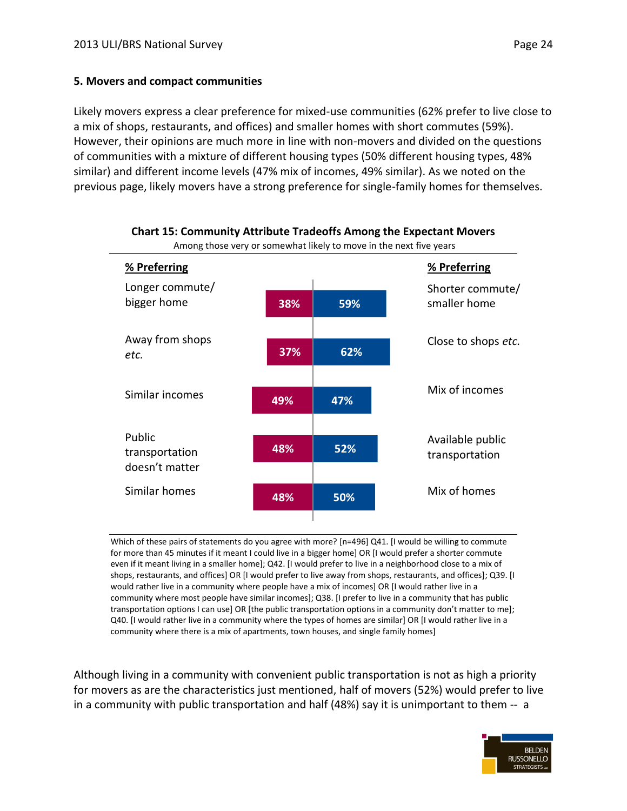#### **5. Movers and compact communities**

Likely movers express a clear preference for mixed-use communities (62% prefer to live close to a mix of shops, restaurants, and offices) and smaller homes with short commutes (59%). However, their opinions are much more in line with non-movers and divided on the questions of communities with a mixture of different housing types (50% different housing types, 48% similar) and different income levels (47% mix of incomes, 49% similar). As we noted on the previous page, likely movers have a strong preference for single-family homes for themselves.



## **Chart 15: Community Attribute Tradeoffs Among the Expectant Movers**

Which of these pairs of statements do you agree with more? [n=496] Q41. [I would be willing to commute for more than 45 minutes if it meant I could live in a bigger home] OR [I would prefer a shorter commute even if it meant living in a smaller home]; Q42. [I would prefer to live in a neighborhood close to a mix of shops, restaurants, and offices] OR [I would prefer to live away from shops, restaurants, and offices]; Q39. [I would rather live in a community where people have a mix of incomes] OR [I would rather live in a community where most people have similar incomes]; Q38. [I prefer to live in a community that has public transportation options I can use] OR [the public transportation options in a community don't matter to me]; Q40. [I would rather live in a community where the types of homes are similar] OR [I would rather live in a community where there is a mix of apartments, town houses, and single family homes]

Although living in a community with convenient public transportation is not as high a priority for movers as are the characteristics just mentioned, half of movers (52%) would prefer to live in a community with public transportation and half (48%) say it is unimportant to them -- a

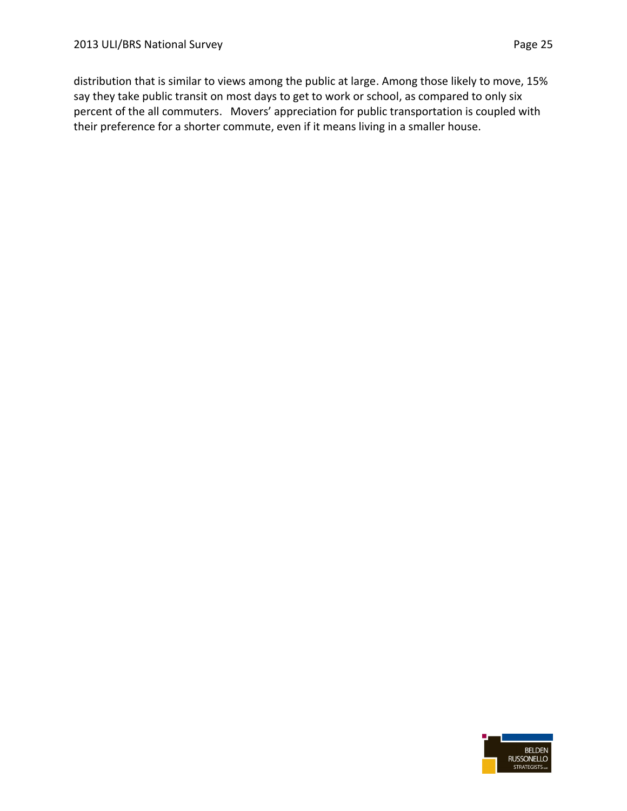distribution that is similar to views among the public at large. Among those likely to move, 15% say they take public transit on most days to get to work or school, as compared to only six percent of the all commuters. Movers' appreciation for public transportation is coupled with their preference for a shorter commute, even if it means living in a smaller house.

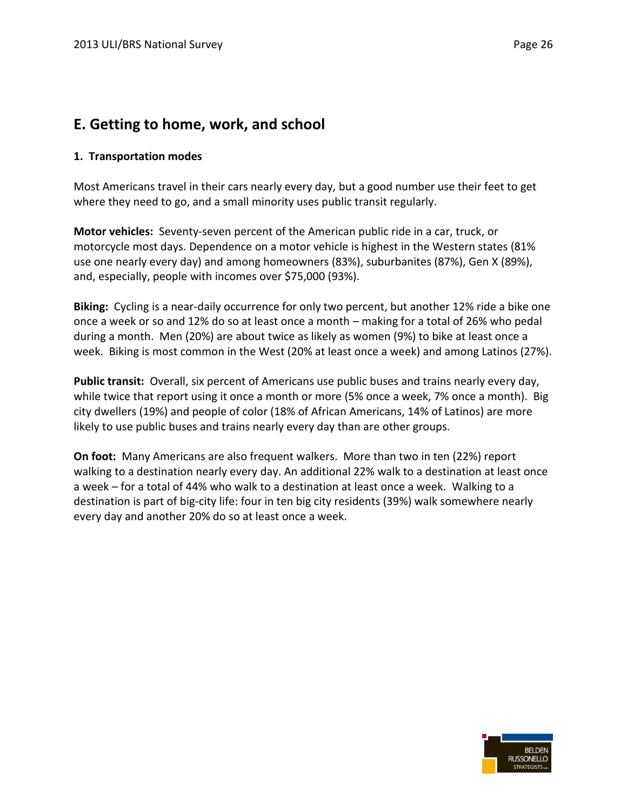### **E. Getting to home, work, and school**

#### **1. Transportation modes**

Most Americans travel in their cars nearly every day, but a good number use their feet to get where they need to go, and a small minority uses public transit regularly.

**Motor vehicles:** Seventy-seven percent of the American public ride in a car, truck, or motorcycle most days. Dependence on a motor vehicle is highest in the Western states (81% use one nearly every day) and among homeowners (83%), suburbanites (87%), Gen X (89%), and, especially, people with incomes over \$75,000 (93%).

**Biking:** Cycling is a near-daily occurrence for only two percent, but another 12% ride a bike one once a week or so and 12% do so at least once a month – making for a total of 26% who pedal during a month. Men (20%) are about twice as likely as women (9%) to bike at least once a week. Biking is most common in the West (20% at least once a week) and among Latinos (27%).

**Public transit:** Overall, six percent of Americans use public buses and trains nearly every day, while twice that report using it once a month or more (5% once a week, 7% once a month). Big city dwellers (19%) and people of color (18% of African Americans, 14% of Latinos) are more likely to use public buses and trains nearly every day than are other groups.

**On foot:** Many Americans are also frequent walkers. More than two in ten (22%) report walking to a destination nearly every day. An additional 22% walk to a destination at least once a week – for a total of 44% who walk to a destination at least once a week. Walking to a destination is part of big-city life: four in ten big city residents (39%) walk somewhere nearly every day and another 20% do so at least once a week.

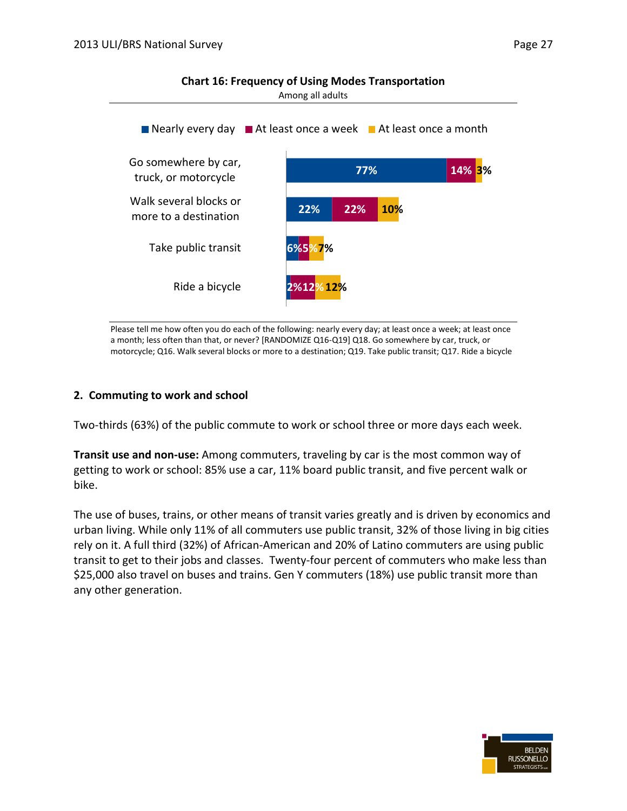**Chart 16: Frequency of Using Modes Transportation** 



Please tell me how often you do each of the following: nearly every day; at least once a week; at least once a month; less often than that, or never? [RANDOMIZE Q16-Q19] Q18. Go somewhere by car, truck, or motorcycle; Q16. Walk several blocks or more to a destination; Q19. Take public transit; Q17. Ride a bicycle

#### **2. Commuting to work and school**

Two-thirds (63%) of the public commute to work or school three or more days each week.

**Transit use and non-use:** Among commuters, traveling by car is the most common way of getting to work or school: 85% use a car, 11% board public transit, and five percent walk or bike.

The use of buses, trains, or other means of transit varies greatly and is driven by economics and urban living. While only 11% of all commuters use public transit, 32% of those living in big cities rely on it. A full third (32%) of African-American and 20% of Latino commuters are using public transit to get to their jobs and classes. Twenty-four percent of commuters who make less than \$25,000 also travel on buses and trains. Gen Y commuters (18%) use public transit more than any other generation.

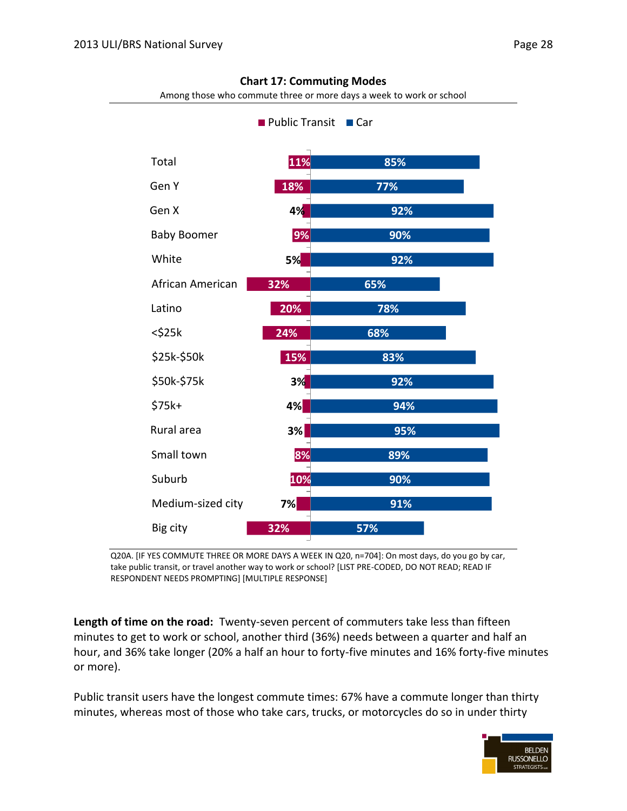| Public Transit<br>$\blacksquare$ Car |     |     |  |  |  |
|--------------------------------------|-----|-----|--|--|--|
| Total                                | 11% | 85% |  |  |  |
| Gen Y                                | 18% | 77% |  |  |  |
| Gen X                                | 4%  | 92% |  |  |  |
| <b>Baby Boomer</b>                   | 9%  | 90% |  |  |  |
| White                                | 5%  | 92% |  |  |  |
| African American                     | 32% | 65% |  |  |  |
| Latino                               | 20% | 78% |  |  |  |
| $<$ \$25 $k$                         | 24% | 68% |  |  |  |
| \$25k-\$50k                          | 15% | 83% |  |  |  |
| \$50k-\$75k                          | 3%  | 92% |  |  |  |
| \$75k+                               | 4%  | 94% |  |  |  |
| Rural area                           | 3%  | 95% |  |  |  |
| Small town                           | 8%  | 89% |  |  |  |
| Suburb                               | 10% | 90% |  |  |  |
| Medium-sized city                    | 7%  | 91% |  |  |  |
| Big city                             | 32% | 57% |  |  |  |

#### **Chart 17: Commuting Modes**

Among those who commute three or more days a week to work or school

Q20A. [IF YES COMMUTE THREE OR MORE DAYS A WEEK IN Q20, n=704]: On most days, do you go by car, take public transit, or travel another way to work or school? [LIST PRE-CODED, DO NOT READ; READ IF RESPONDENT NEEDS PROMPTING] [MULTIPLE RESPONSE]

**Length of time on the road:** Twenty-seven percent of commuters take less than fifteen minutes to get to work or school, another third (36%) needs between a quarter and half an hour, and 36% take longer (20% a half an hour to forty-five minutes and 16% forty-five minutes or more).

Public transit users have the longest commute times: 67% have a commute longer than thirty minutes, whereas most of those who take cars, trucks, or motorcycles do so in under thirty

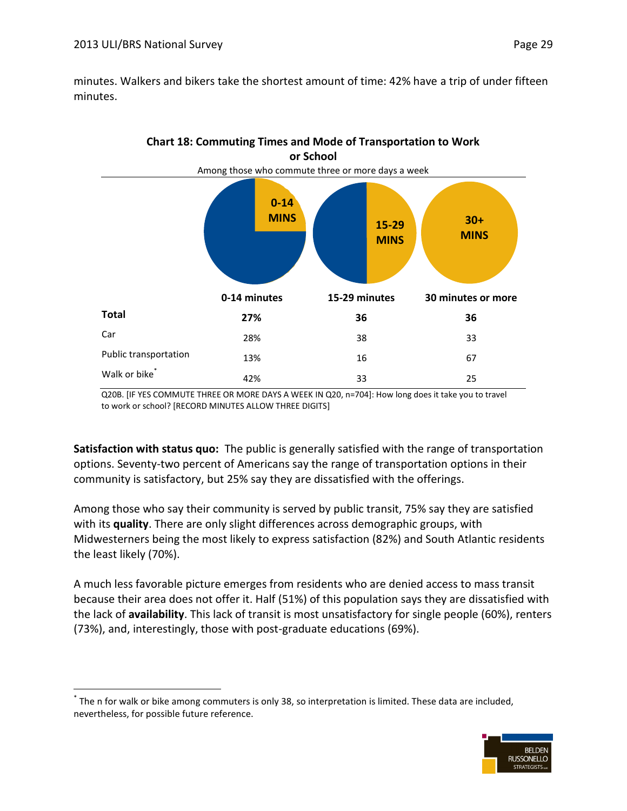$\overline{a}$ 

minutes. Walkers and bikers take the shortest amount of time: 42% have a trip of under fifteen minutes.



Q20B. [IF YES COMMUTE THREE OR MORE DAYS A WEEK IN Q20, n=704]: How long does it take you to travel to work or school? [RECORD MINUTES ALLOW THREE DIGITS]

**Satisfaction with status quo:** The public is generally satisfied with the range of transportation options. Seventy-two percent of Americans say the range of transportation options in their community is satisfactory, but 25% say they are dissatisfied with the offerings.

Among those who say their community is served by public transit, 75% say they are satisfied with its **quality**. There are only slight differences across demographic groups, with Midwesterners being the most likely to express satisfaction (82%) and South Atlantic residents the least likely (70%).

A much less favorable picture emerges from residents who are denied access to mass transit because their area does not offer it. Half (51%) of this population says they are dissatisfied with the lack of **availability**. This lack of transit is most unsatisfactory for single people (60%), renters (73%), and, interestingly, those with post-graduate educations (69%).





<sup>\*</sup> The n for walk or bike among commuters is only 38, so interpretation is limited. These data are included, nevertheless, for possible future reference.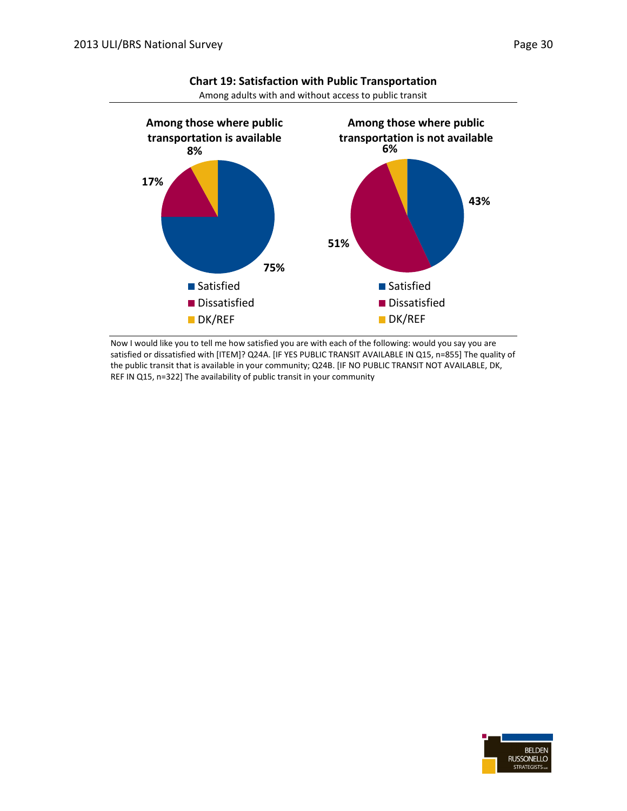

**Chart 19: Satisfaction with Public Transportation** Among adults with and without access to public transit

Now I would like you to tell me how satisfied you are with each of the following: would you say you are satisfied or dissatisfied with [ITEM]? Q24A. [IF YES PUBLIC TRANSIT AVAILABLE IN Q15, n=855] The quality of the public transit that is available in your community; Q24B. [IF NO PUBLIC TRANSIT NOT AVAILABLE, DK, REF IN Q15, n=322] The availability of public transit in your community

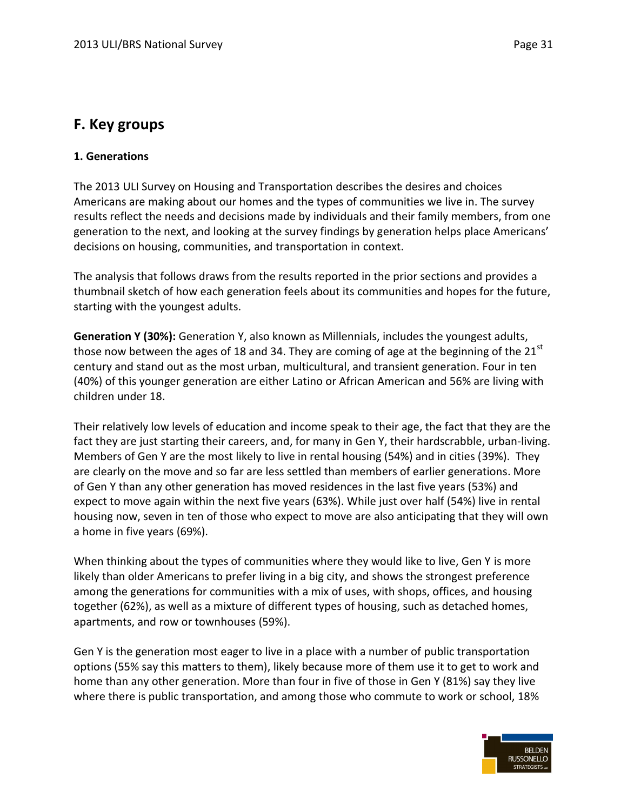### **F. Key groups**

#### **1. Generations**

The 2013 ULI Survey on Housing and Transportation describes the desires and choices Americans are making about our homes and the types of communities we live in. The survey results reflect the needs and decisions made by individuals and their family members, from one generation to the next, and looking at the survey findings by generation helps place Americans' decisions on housing, communities, and transportation in context.

The analysis that follows draws from the results reported in the prior sections and provides a thumbnail sketch of how each generation feels about its communities and hopes for the future, starting with the youngest adults.

**Generation Y (30%):** Generation Y, also known as Millennials, includes the youngest adults, those now between the ages of 18 and 34. They are coming of age at the beginning of the  $21<sup>st</sup>$ century and stand out as the most urban, multicultural, and transient generation. Four in ten (40%) of this younger generation are either Latino or African American and 56% are living with children under 18.

Their relatively low levels of education and income speak to their age, the fact that they are the fact they are just starting their careers, and, for many in Gen Y, their hardscrabble, urban-living. Members of Gen Y are the most likely to live in rental housing (54%) and in cities (39%). They are clearly on the move and so far are less settled than members of earlier generations. More of Gen Y than any other generation has moved residences in the last five years (53%) and expect to move again within the next five years (63%). While just over half (54%) live in rental housing now, seven in ten of those who expect to move are also anticipating that they will own a home in five years (69%).

When thinking about the types of communities where they would like to live, Gen Y is more likely than older Americans to prefer living in a big city, and shows the strongest preference among the generations for communities with a mix of uses, with shops, offices, and housing together (62%), as well as a mixture of different types of housing, such as detached homes, apartments, and row or townhouses (59%).

Gen Y is the generation most eager to live in a place with a number of public transportation options (55% say this matters to them), likely because more of them use it to get to work and home than any other generation. More than four in five of those in Gen Y (81%) say they live where there is public transportation, and among those who commute to work or school, 18%

![](_page_32_Picture_10.jpeg)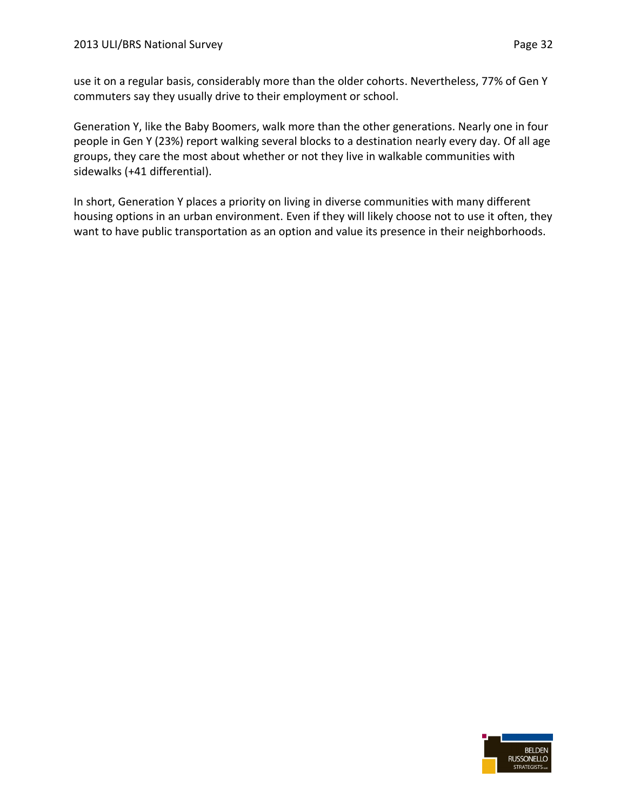use it on a regular basis, considerably more than the older cohorts. Nevertheless, 77% of Gen Y commuters say they usually drive to their employment or school.

Generation Y, like the Baby Boomers, walk more than the other generations. Nearly one in four people in Gen Y (23%) report walking several blocks to a destination nearly every day. Of all age groups, they care the most about whether or not they live in walkable communities with sidewalks (+41 differential).

In short, Generation Y places a priority on living in diverse communities with many different housing options in an urban environment. Even if they will likely choose not to use it often, they want to have public transportation as an option and value its presence in their neighborhoods.

![](_page_33_Picture_5.jpeg)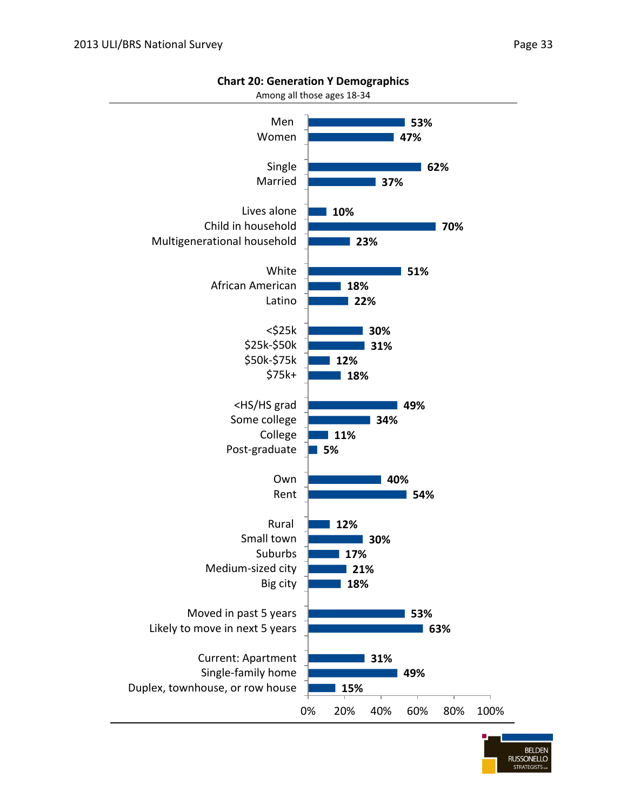![](_page_34_Figure_2.jpeg)

**Chart 20: Generation Y Demographics**

![](_page_34_Picture_4.jpeg)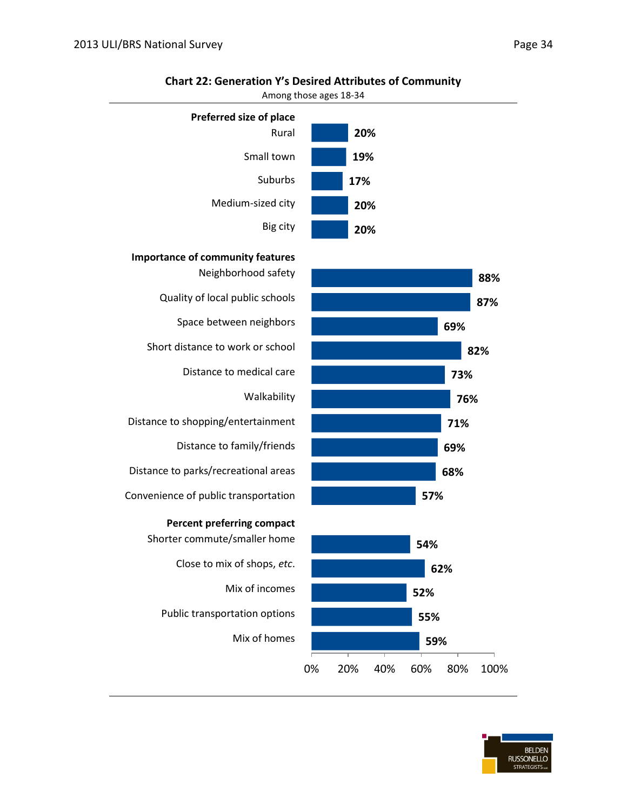![](_page_35_Figure_1.jpeg)

#### **Chart 22: Generation Y's Desired Attributes of Community**

Among those ages 18-34

![](_page_35_Figure_4.jpeg)

![](_page_35_Picture_5.jpeg)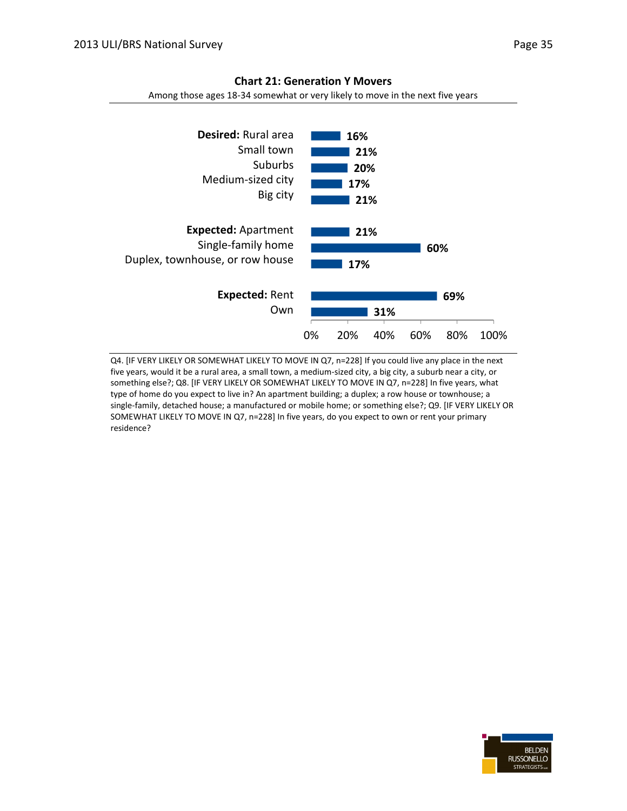![](_page_36_Figure_1.jpeg)

#### **Chart 21: Generation Y Movers**

Among those ages 18-34 somewhat or very likely to move in the next five years

Q4. [IF VERY LIKELY OR SOMEWHAT LIKELY TO MOVE IN Q7, n=228] If you could live any place in the next five years, would it be a rural area, a small town, a medium-sized city, a big city, a suburb near a city, or something else?; Q8. [IF VERY LIKELY OR SOMEWHAT LIKELY TO MOVE IN Q7, n=228] In five years, what type of home do you expect to live in? An apartment building; a duplex; a row house or townhouse; a single-family, detached house; a manufactured or mobile home; or something else?; Q9. [IF VERY LIKELY OR SOMEWHAT LIKELY TO MOVE IN Q7, n=228] In five years, do you expect to own or rent your primary residence?

![](_page_36_Picture_6.jpeg)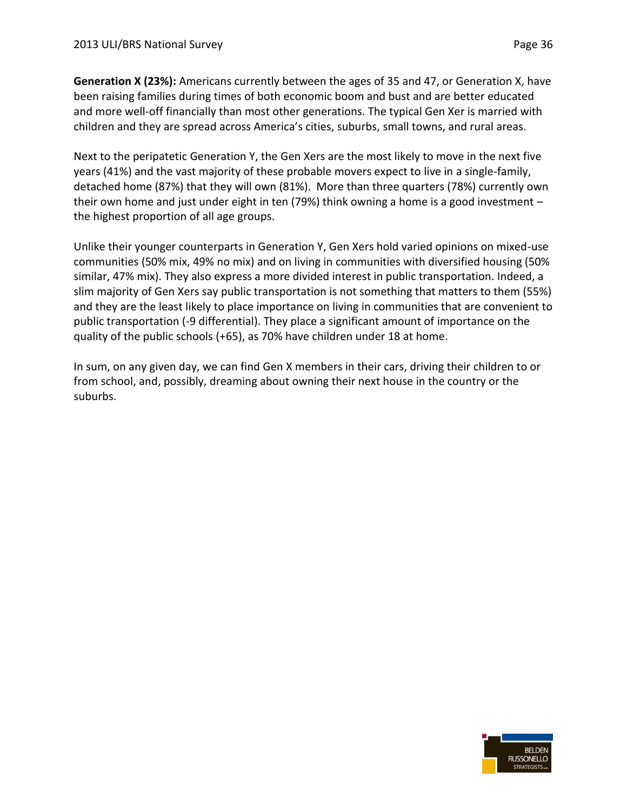**Generation X (23%):** Americans currently between the ages of 35 and 47, or Generation X, have been raising families during times of both economic boom and bust and are better educated and more well-off financially than most other generations. The typical Gen Xer is married with children and they are spread across America's cities, suburbs, small towns, and rural areas.

Next to the peripatetic Generation Y, the Gen Xers are the most likely to move in the next five years (41%) and the vast majority of these probable movers expect to live in a single-family, detached home (87%) that they will own (81%). More than three quarters (78%) currently own their own home and just under eight in ten (79%) think owning a home is a good investment – the highest proportion of all age groups.

Unlike their younger counterparts in Generation Y, Gen Xers hold varied opinions on mixed-use communities (50% mix, 49% no mix) and on living in communities with diversified housing (50% similar, 47% mix). They also express a more divided interest in public transportation. Indeed, a slim majority of Gen Xers say public transportation is not something that matters to them (55%) and they are the least likely to place importance on living in communities that are convenient to public transportation (-9 differential). They place a significant amount of importance on the quality of the public schools (+65), as 70% have children under 18 at home.

In sum, on any given day, we can find Gen X members in their cars, driving their children to or from school, and, possibly, dreaming about owning their next house in the country or the suburbs.

![](_page_37_Picture_6.jpeg)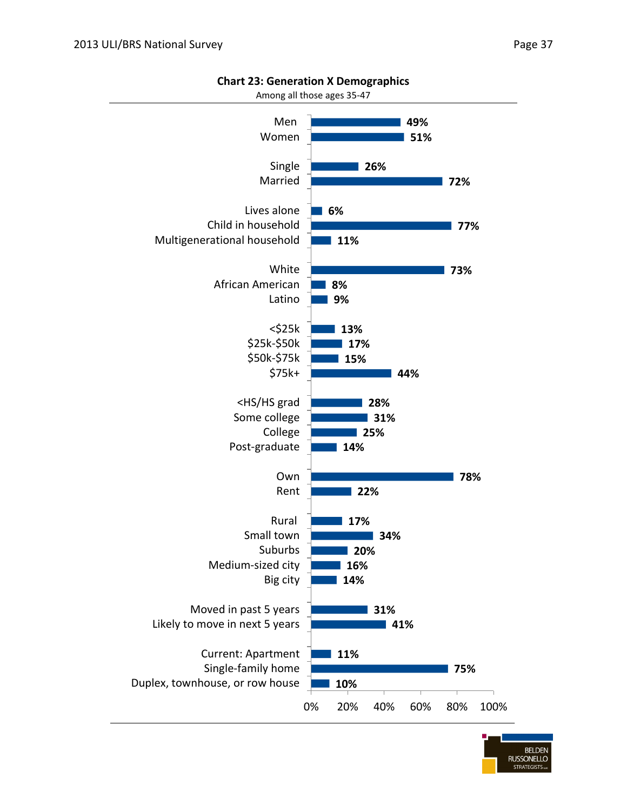![](_page_38_Figure_2.jpeg)

#### **Chart 23: Generation X Demographics**

![](_page_38_Picture_4.jpeg)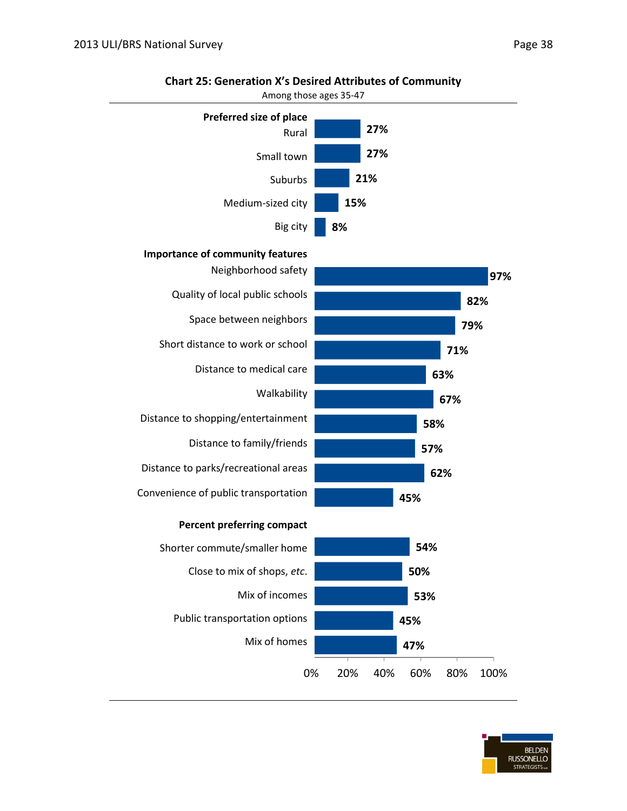![](_page_39_Figure_1.jpeg)

#### **Chart 25: Generation X's Desired Attributes of Community**

![](_page_39_Picture_4.jpeg)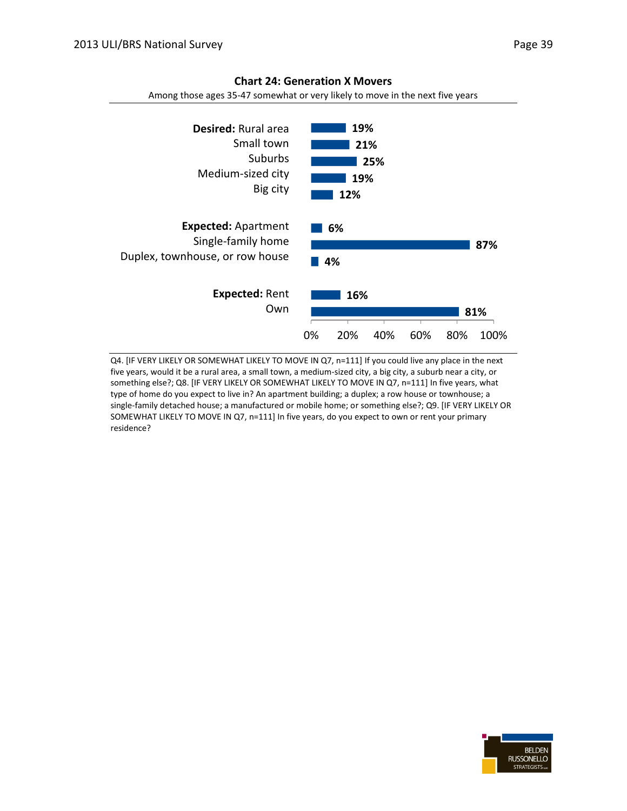![](_page_40_Figure_2.jpeg)

#### **Chart 24: Generation X Movers**

Among those ages 35-47 somewhat or very likely to move in the next five years

Q4. [IF VERY LIKELY OR SOMEWHAT LIKELY TO MOVE IN Q7, n=111] If you could live any place in the next five years, would it be a rural area, a small town, a medium-sized city, a big city, a suburb near a city, or something else?; Q8. [IF VERY LIKELY OR SOMEWHAT LIKELY TO MOVE IN Q7, n=111] In five years, what type of home do you expect to live in? An apartment building; a duplex; a row house or townhouse; a single-family detached house; a manufactured or mobile home; or something else?; Q9. [IF VERY LIKELY OR SOMEWHAT LIKELY TO MOVE IN Q7, n=111] In five years, do you expect to own or rent your primary residence?

![](_page_40_Picture_6.jpeg)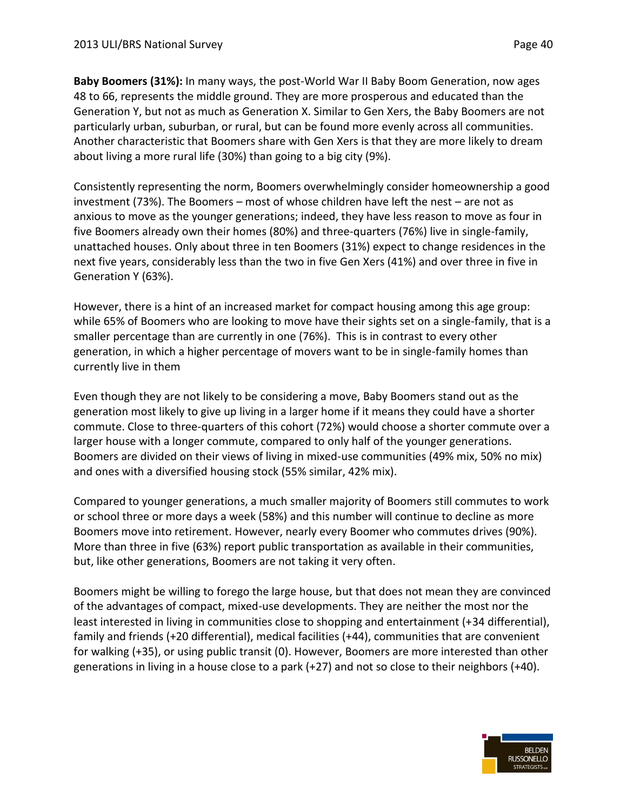**Baby Boomers (31%):** In many ways, the post-World War II Baby Boom Generation, now ages 48 to 66, represents the middle ground. They are more prosperous and educated than the Generation Y, but not as much as Generation X. Similar to Gen Xers, the Baby Boomers are not particularly urban, suburban, or rural, but can be found more evenly across all communities. Another characteristic that Boomers share with Gen Xers is that they are more likely to dream about living a more rural life (30%) than going to a big city (9%).

Consistently representing the norm, Boomers overwhelmingly consider homeownership a good investment (73%). The Boomers – most of whose children have left the nest – are not as anxious to move as the younger generations; indeed, they have less reason to move as four in five Boomers already own their homes (80%) and three-quarters (76%) live in single-family, unattached houses. Only about three in ten Boomers (31%) expect to change residences in the next five years, considerably less than the two in five Gen Xers (41%) and over three in five in Generation Y (63%).

However, there is a hint of an increased market for compact housing among this age group: while 65% of Boomers who are looking to move have their sights set on a single-family, that is a smaller percentage than are currently in one (76%). This is in contrast to every other generation, in which a higher percentage of movers want to be in single-family homes than currently live in them

Even though they are not likely to be considering a move, Baby Boomers stand out as the generation most likely to give up living in a larger home if it means they could have a shorter commute. Close to three-quarters of this cohort (72%) would choose a shorter commute over a larger house with a longer commute, compared to only half of the younger generations. Boomers are divided on their views of living in mixed-use communities (49% mix, 50% no mix) and ones with a diversified housing stock (55% similar, 42% mix).

Compared to younger generations, a much smaller majority of Boomers still commutes to work or school three or more days a week (58%) and this number will continue to decline as more Boomers move into retirement. However, nearly every Boomer who commutes drives (90%). More than three in five (63%) report public transportation as available in their communities, but, like other generations, Boomers are not taking it very often.

Boomers might be willing to forego the large house, but that does not mean they are convinced of the advantages of compact, mixed-use developments. They are neither the most nor the least interested in living in communities close to shopping and entertainment (+34 differential), family and friends (+20 differential), medical facilities (+44), communities that are convenient for walking (+35), or using public transit (0). However, Boomers are more interested than other generations in living in a house close to a park (+27) and not so close to their neighbors (+40).

![](_page_41_Picture_8.jpeg)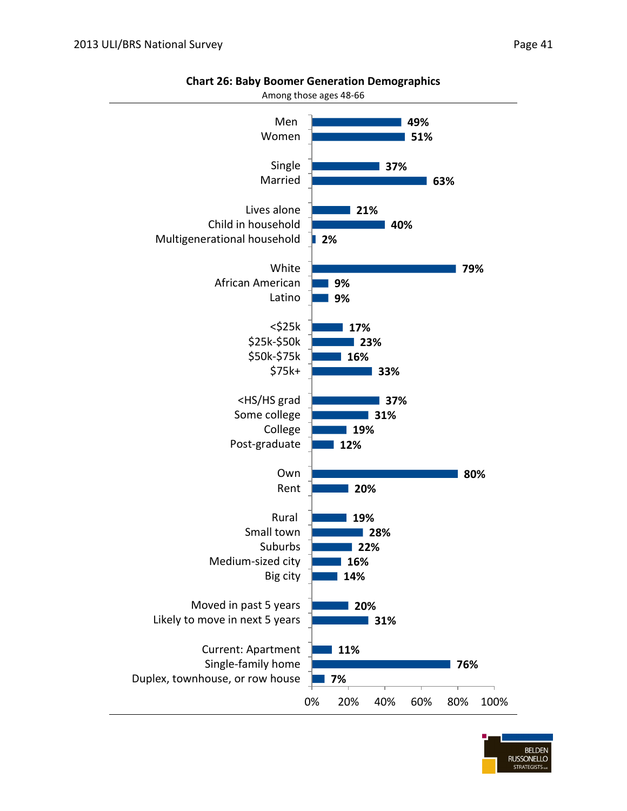![](_page_42_Figure_1.jpeg)

**Chart 26: Baby Boomer Generation Demographics**

![](_page_42_Picture_4.jpeg)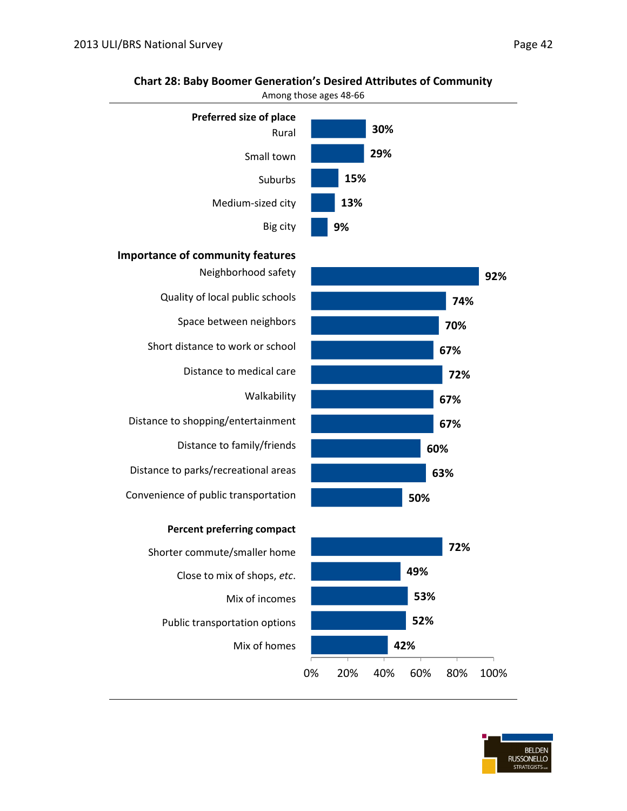![](_page_43_Figure_1.jpeg)

#### **Chart 28: Baby Boomer Generation's Desired Attributes of Community**

Among those ages 48-66

![](_page_43_Figure_4.jpeg)

![](_page_43_Figure_5.jpeg)

Shorter commute/smaller home Close to mix of shops, *etc*. Mix of incomes Public transportation options Mix of homes

![](_page_43_Figure_7.jpeg)

![](_page_43_Picture_8.jpeg)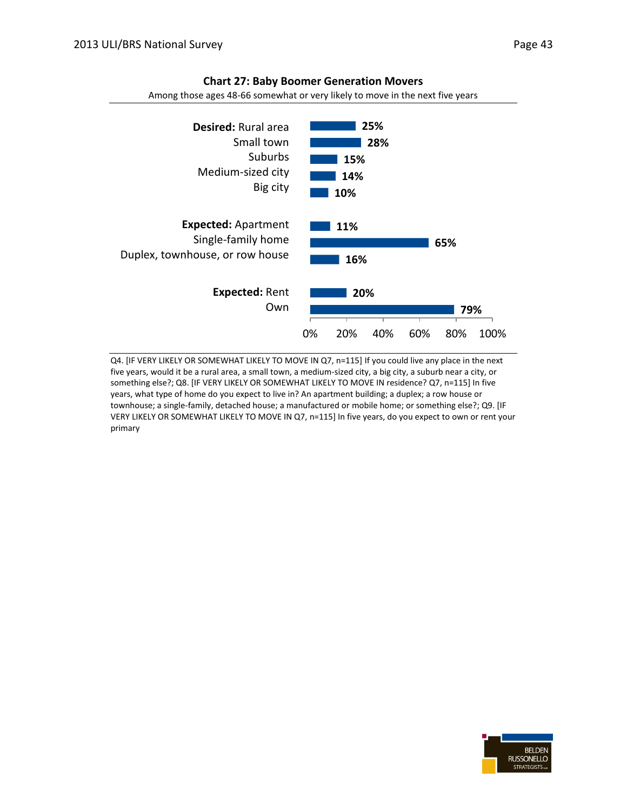![](_page_44_Figure_2.jpeg)

#### **Chart 27: Baby Boomer Generation Movers**

Among those ages 48-66 somewhat or very likely to move in the next five years

Q4. [IF VERY LIKELY OR SOMEWHAT LIKELY TO MOVE IN Q7, n=115] If you could live any place in the next five years, would it be a rural area, a small town, a medium-sized city, a big city, a suburb near a city, or something else?; Q8. [IF VERY LIKELY OR SOMEWHAT LIKELY TO MOVE IN residence? Q7, n=115] In five years, what type of home do you expect to live in? An apartment building; a duplex; a row house or townhouse; a single-family, detached house; a manufactured or mobile home; or something else?; Q9. [IF VERY LIKELY OR SOMEWHAT LIKELY TO MOVE IN Q7, n=115] In five years, do you expect to own or rent your primary

![](_page_44_Picture_6.jpeg)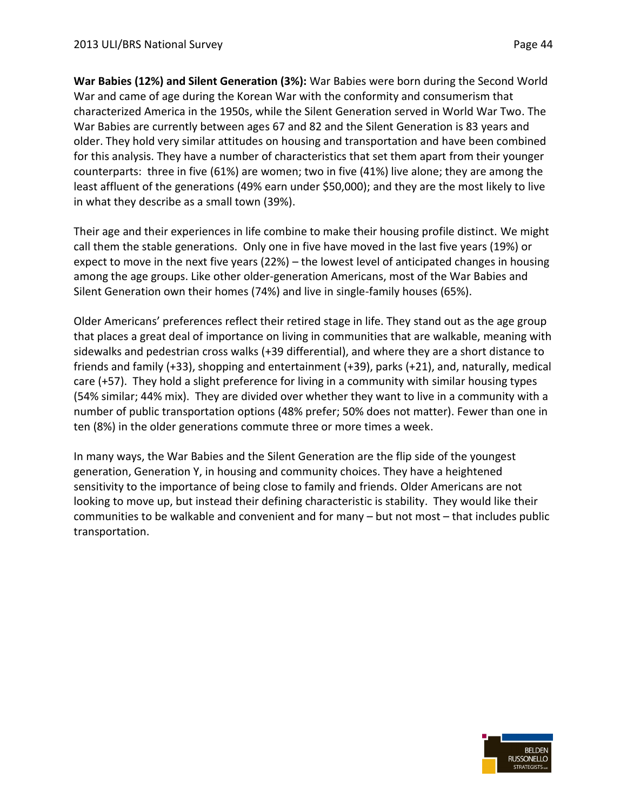**War Babies (12%) and Silent Generation (3%):** War Babies were born during the Second World War and came of age during the Korean War with the conformity and consumerism that characterized America in the 1950s, while the Silent Generation served in World War Two. The War Babies are currently between ages 67 and 82 and the Silent Generation is 83 years and older. They hold very similar attitudes on housing and transportation and have been combined for this analysis. They have a number of characteristics that set them apart from their younger counterparts: three in five (61%) are women; two in five (41%) live alone; they are among the least affluent of the generations (49% earn under \$50,000); and they are the most likely to live in what they describe as a small town (39%).

Their age and their experiences in life combine to make their housing profile distinct. We might call them the stable generations. Only one in five have moved in the last five years (19%) or expect to move in the next five years (22%) – the lowest level of anticipated changes in housing among the age groups. Like other older-generation Americans, most of the War Babies and Silent Generation own their homes (74%) and live in single-family houses (65%).

Older Americans' preferences reflect their retired stage in life. They stand out as the age group that places a great deal of importance on living in communities that are walkable, meaning with sidewalks and pedestrian cross walks (+39 differential), and where they are a short distance to friends and family (+33), shopping and entertainment (+39), parks (+21), and, naturally, medical care (+57). They hold a slight preference for living in a community with similar housing types (54% similar; 44% mix). They are divided over whether they want to live in a community with a number of public transportation options (48% prefer; 50% does not matter). Fewer than one in ten (8%) in the older generations commute three or more times a week.

In many ways, the War Babies and the Silent Generation are the flip side of the youngest generation, Generation Y, in housing and community choices. They have a heightened sensitivity to the importance of being close to family and friends. Older Americans are not looking to move up, but instead their defining characteristic is stability. They would like their communities to be walkable and convenient and for many – but not most – that includes public transportation.

![](_page_45_Picture_6.jpeg)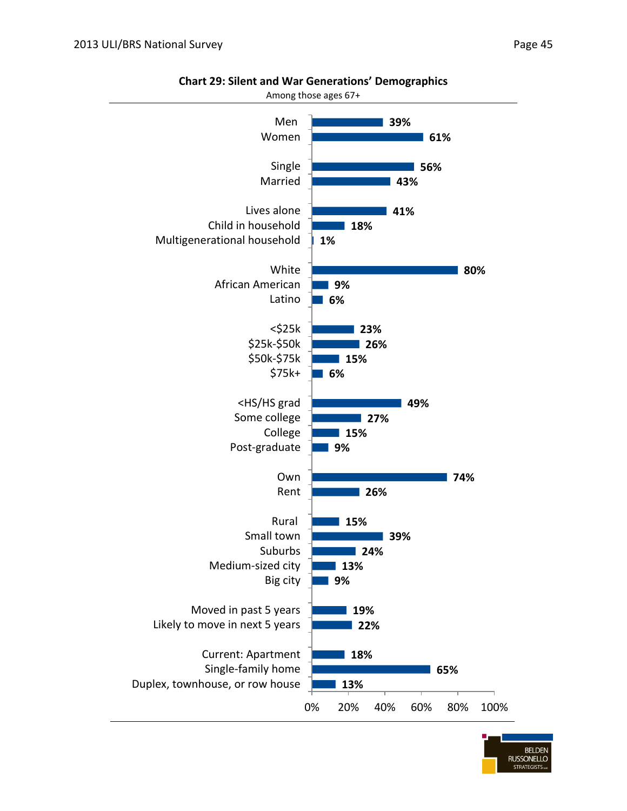![](_page_46_Figure_1.jpeg)

**Chart 29: Silent and War Generations' Demographics**

![](_page_46_Picture_4.jpeg)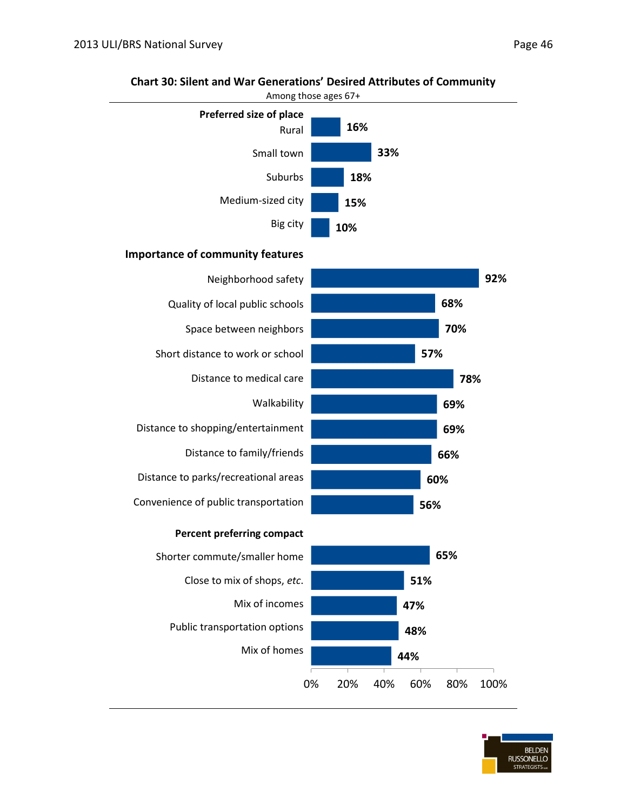![](_page_47_Figure_1.jpeg)

#### **Chart 30: Silent and War Generations' Desired Attributes of Community**

![](_page_47_Picture_4.jpeg)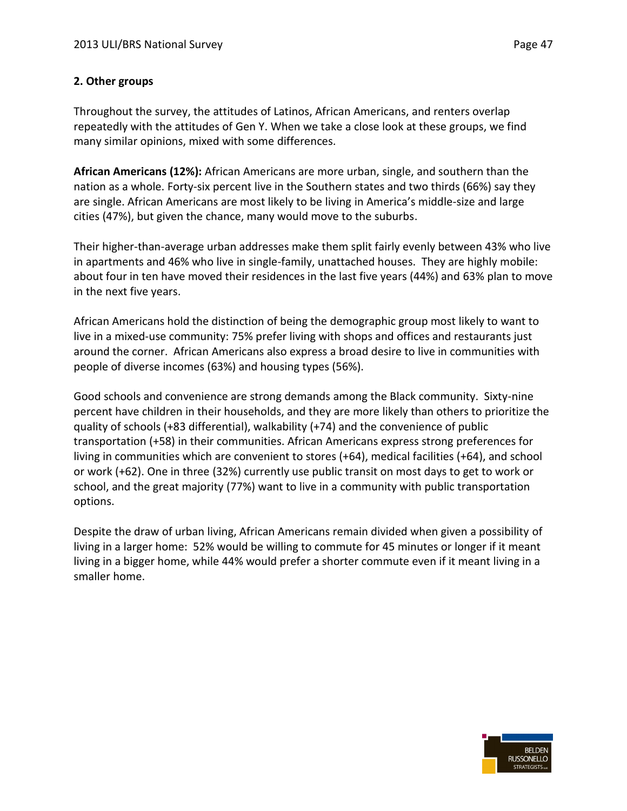#### **2. Other groups**

Throughout the survey, the attitudes of Latinos, African Americans, and renters overlap repeatedly with the attitudes of Gen Y. When we take a close look at these groups, we find many similar opinions, mixed with some differences.

**African Americans (12%):** African Americans are more urban, single, and southern than the nation as a whole. Forty-six percent live in the Southern states and two thirds (66%) say they are single. African Americans are most likely to be living in America's middle-size and large cities (47%), but given the chance, many would move to the suburbs.

Their higher-than-average urban addresses make them split fairly evenly between 43% who live in apartments and 46% who live in single-family, unattached houses. They are highly mobile: about four in ten have moved their residences in the last five years (44%) and 63% plan to move in the next five years.

African Americans hold the distinction of being the demographic group most likely to want to live in a mixed-use community: 75% prefer living with shops and offices and restaurants just around the corner. African Americans also express a broad desire to live in communities with people of diverse incomes (63%) and housing types (56%).

Good schools and convenience are strong demands among the Black community. Sixty-nine percent have children in their households, and they are more likely than others to prioritize the quality of schools (+83 differential), walkability (+74) and the convenience of public transportation (+58) in their communities. African Americans express strong preferences for living in communities which are convenient to stores (+64), medical facilities (+64), and school or work (+62). One in three (32%) currently use public transit on most days to get to work or school, and the great majority (77%) want to live in a community with public transportation options.

Despite the draw of urban living, African Americans remain divided when given a possibility of living in a larger home: 52% would be willing to commute for 45 minutes or longer if it meant living in a bigger home, while 44% would prefer a shorter commute even if it meant living in a smaller home.

![](_page_48_Picture_9.jpeg)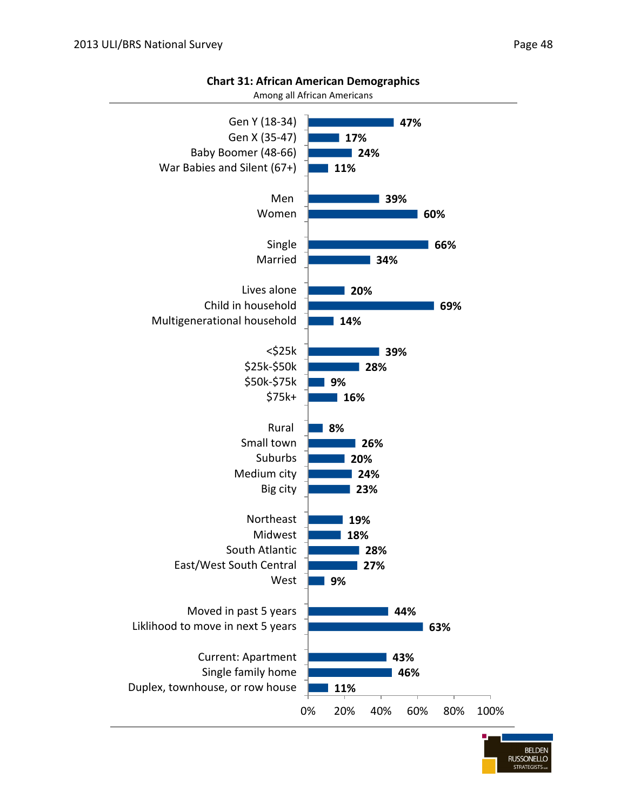![](_page_49_Figure_1.jpeg)

#### **Chart 31: African American Demographics**

![](_page_49_Picture_4.jpeg)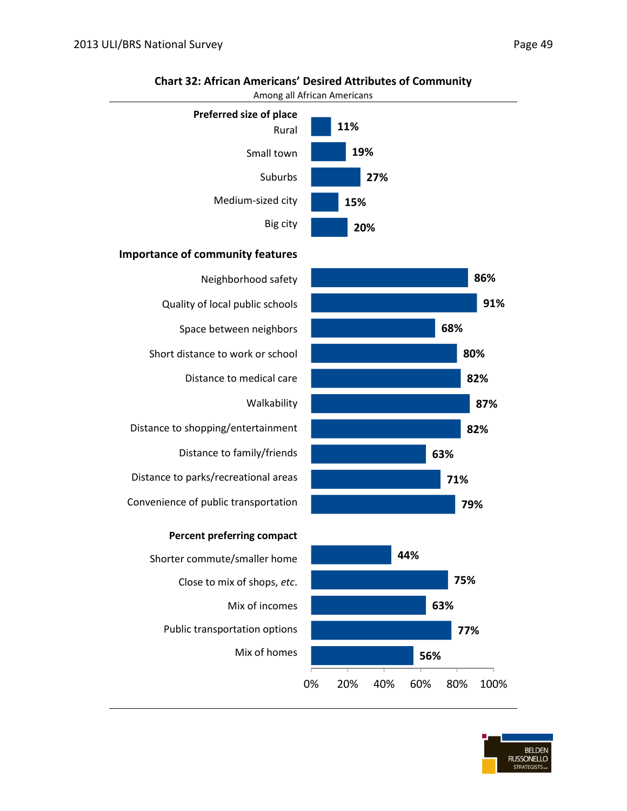![](_page_50_Figure_1.jpeg)

#### **Chart 32: African Americans' Desired Attributes of Community**

#### **Importance of community features**

| Neighborhood safety                  |
|--------------------------------------|
| Quality of local public schools      |
| Space between neighbors              |
| Short distance to work or school     |
| Distance to medical care             |
| Walkability                          |
| Distance to shopping/entertainment   |
| Distance to family/friends           |
| Distance to parks/recreational areas |
| Convenience of public transportation |
| <b>Percent preferring compact</b>    |
| Shorter commute/smaller home         |
| Close to mix of shops, etc.          |

Mix of incomes Public transportation options Mix of homes

![](_page_50_Figure_6.jpeg)

![](_page_50_Figure_7.jpeg)

BELDEN<br>RUSSONELLO STRATEGISTS ...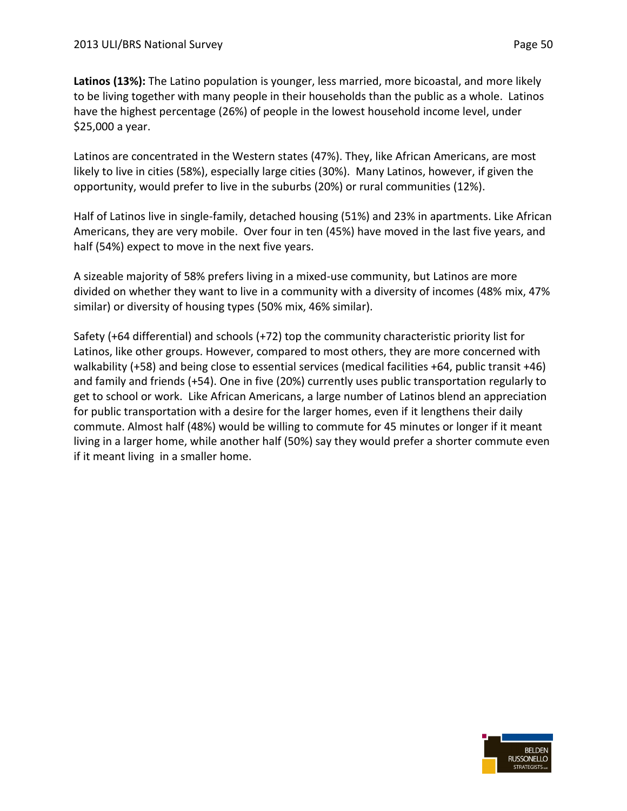**Latinos (13%):** The Latino population is younger, less married, more bicoastal, and more likely to be living together with many people in their households than the public as a whole. Latinos have the highest percentage (26%) of people in the lowest household income level, under \$25,000 a year.

Latinos are concentrated in the Western states (47%). They, like African Americans, are most likely to live in cities (58%), especially large cities (30%). Many Latinos, however, if given the opportunity, would prefer to live in the suburbs (20%) or rural communities (12%).

Half of Latinos live in single-family, detached housing (51%) and 23% in apartments. Like African Americans, they are very mobile. Over four in ten (45%) have moved in the last five years, and half (54%) expect to move in the next five years.

A sizeable majority of 58% prefers living in a mixed-use community, but Latinos are more divided on whether they want to live in a community with a diversity of incomes (48% mix, 47% similar) or diversity of housing types (50% mix, 46% similar).

Safety (+64 differential) and schools (+72) top the community characteristic priority list for Latinos, like other groups. However, compared to most others, they are more concerned with walkability (+58) and being close to essential services (medical facilities +64, public transit +46) and family and friends (+54). One in five (20%) currently uses public transportation regularly to get to school or work. Like African Americans, a large number of Latinos blend an appreciation for public transportation with a desire for the larger homes, even if it lengthens their daily commute. Almost half (48%) would be willing to commute for 45 minutes or longer if it meant living in a larger home, while another half (50%) say they would prefer a shorter commute even if it meant living in a smaller home.

![](_page_51_Picture_7.jpeg)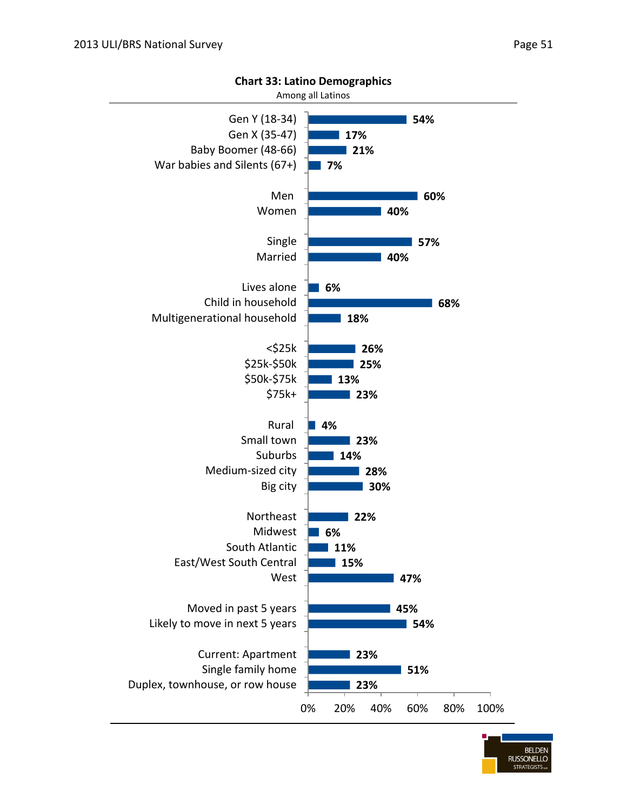![](_page_52_Figure_1.jpeg)

**Chart 33: Latino Demographics**

**BELDEN RUSSONELLO STRATEGISTS**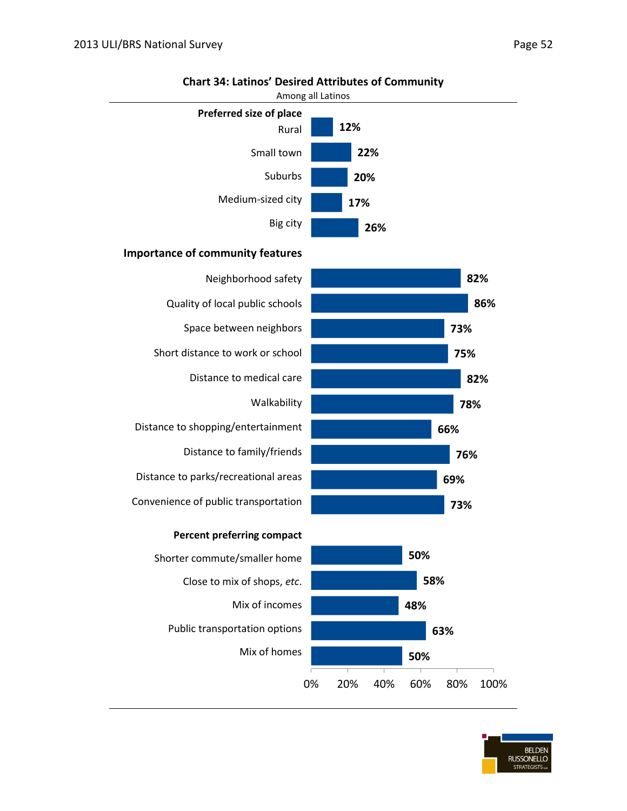![](_page_53_Figure_1.jpeg)

#### **Chart 34: Latinos' Desired Attributes of Community**

#### **Importance of community features**

|           | Neighborhood safety                  |
|-----------|--------------------------------------|
|           | Quality of local public schools      |
|           | Space between neighbors              |
|           | Short distance to work or school     |
|           | Distance to medical care             |
|           | Walkability                          |
|           | Distance to shopping/entertainment   |
|           | Distance to family/friends           |
|           | Distance to parks/recreational areas |
|           | Convenience of public transportation |
|           | <b>Percent preferring compact</b>    |
|           | Shorter commute/smaller home         |
|           | Close to mix of shops, etc.          |
|           | Mix of incomes                       |
|           | Public transportation options        |
|           | Mix of homes                         |
| 20%<br>በ% |                                      |

![](_page_53_Figure_5.jpeg)

![](_page_53_Figure_6.jpeg)

BELDEN<br>RUSSONELLO STRATEGISTS ...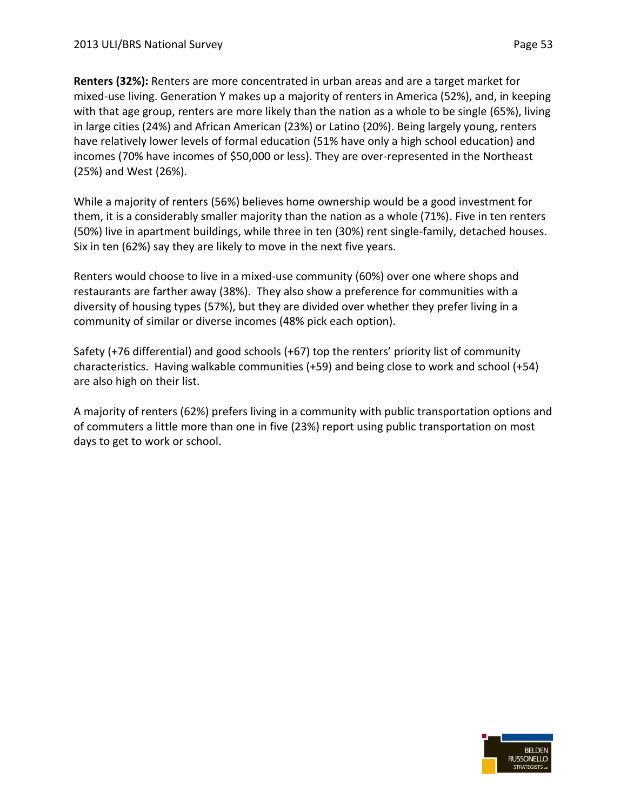**Renters (32%):** Renters are more concentrated in urban areas and are a target market for mixed-use living. Generation Y makes up a majority of renters in America (52%), and, in keeping with that age group, renters are more likely than the nation as a whole to be single (65%), living in large cities (24%) and African American (23%) or Latino (20%). Being largely young, renters have relatively lower levels of formal education (51% have only a high school education) and incomes (70% have incomes of \$50,000 or less). They are over-represented in the Northeast (25%) and West (26%).

While a majority of renters (56%) believes home ownership would be a good investment for them, it is a considerably smaller majority than the nation as a whole (71%). Five in ten renters (50%) live in apartment buildings, while three in ten (30%) rent single-family, detached houses. Six in ten (62%) say they are likely to move in the next five years.

Renters would choose to live in a mixed-use community (60%) over one where shops and restaurants are farther away (38%). They also show a preference for communities with a diversity of housing types (57%), but they are divided over whether they prefer living in a community of similar or diverse incomes (48% pick each option).

Safety (+76 differential) and good schools (+67) top the renters' priority list of community characteristics. Having walkable communities (+59) and being close to work and school (+54) are also high on their list.

A majority of renters (62%) prefers living in a community with public transportation options and of commuters a little more than one in five (23%) report using public transportation on most days to get to work or school.

![](_page_54_Picture_7.jpeg)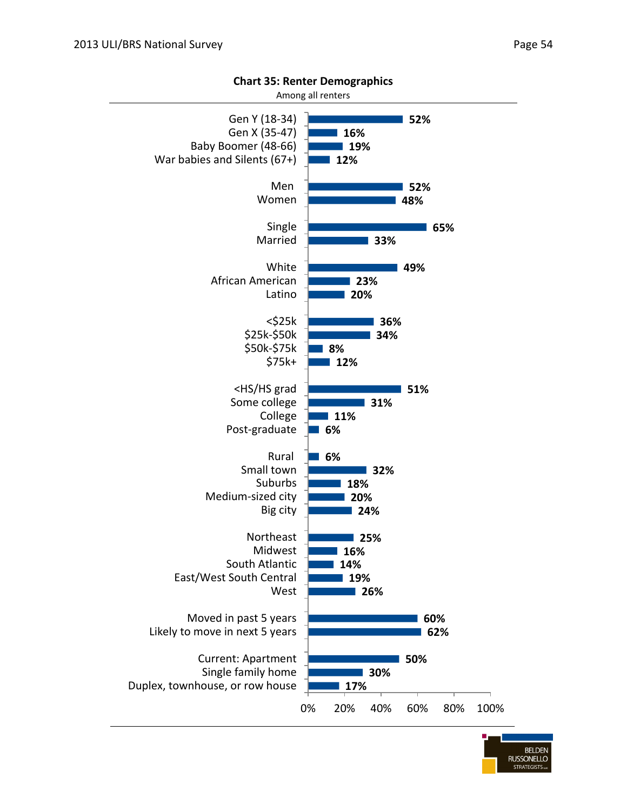![](_page_55_Figure_1.jpeg)

![](_page_55_Figure_2.jpeg)

![](_page_55_Picture_4.jpeg)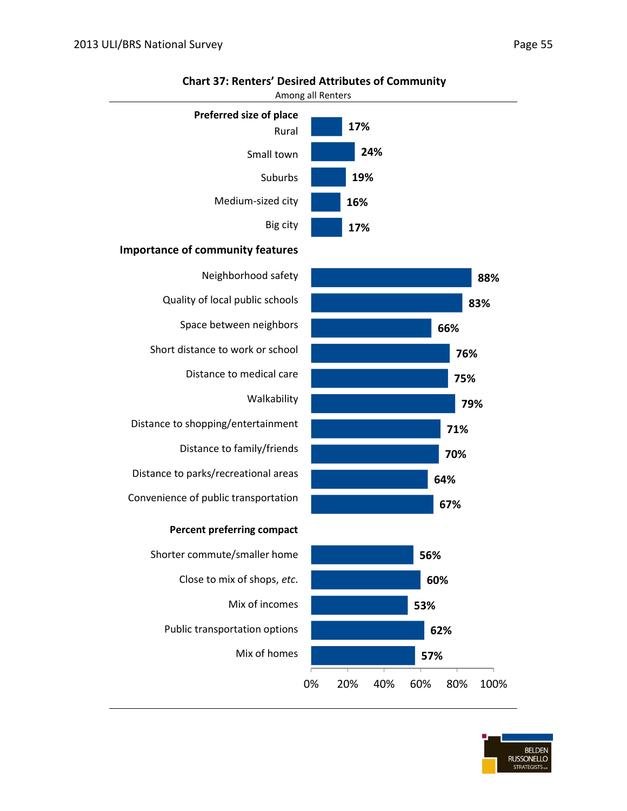![](_page_56_Figure_1.jpeg)

#### **Chart 37: Renters' Desired Attributes of Community**

![](_page_56_Picture_4.jpeg)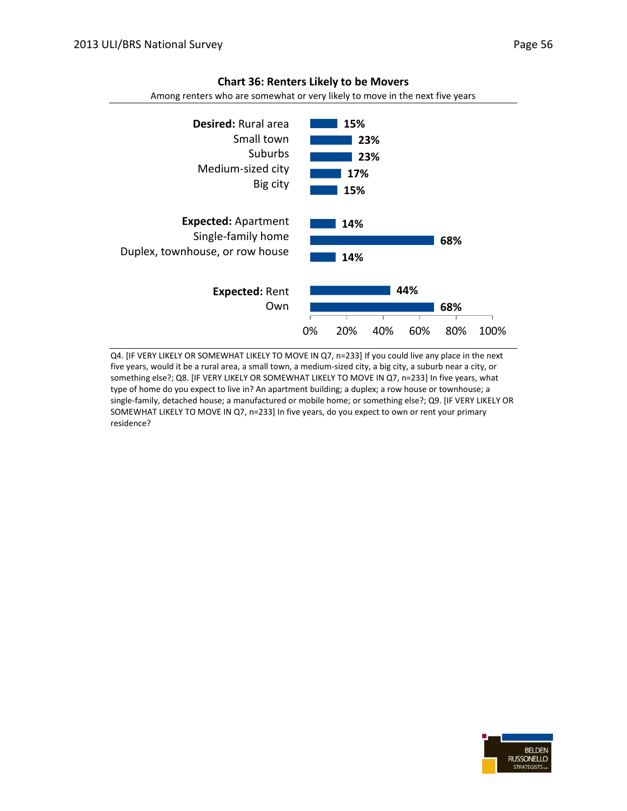![](_page_57_Figure_1.jpeg)

#### **Chart 36: Renters Likely to be Movers**

Among renters who are somewhat or very likely to move in the next five years

Q4. [IF VERY LIKELY OR SOMEWHAT LIKELY TO MOVE IN Q7, n=233] If you could live any place in the next five years, would it be a rural area, a small town, a medium-sized city, a big city, a suburb near a city, or something else?; Q8. [IF VERY LIKELY OR SOMEWHAT LIKELY TO MOVE IN Q7, n=233] In five years, what type of home do you expect to live in? An apartment building; a duplex; a row house or townhouse; a single-family, detached house; a manufactured or mobile home; or something else?; Q9. [IF VERY LIKELY OR SOMEWHAT LIKELY TO MOVE IN Q7, n=233] In five years, do you expect to own or rent your primary residence?

![](_page_57_Picture_5.jpeg)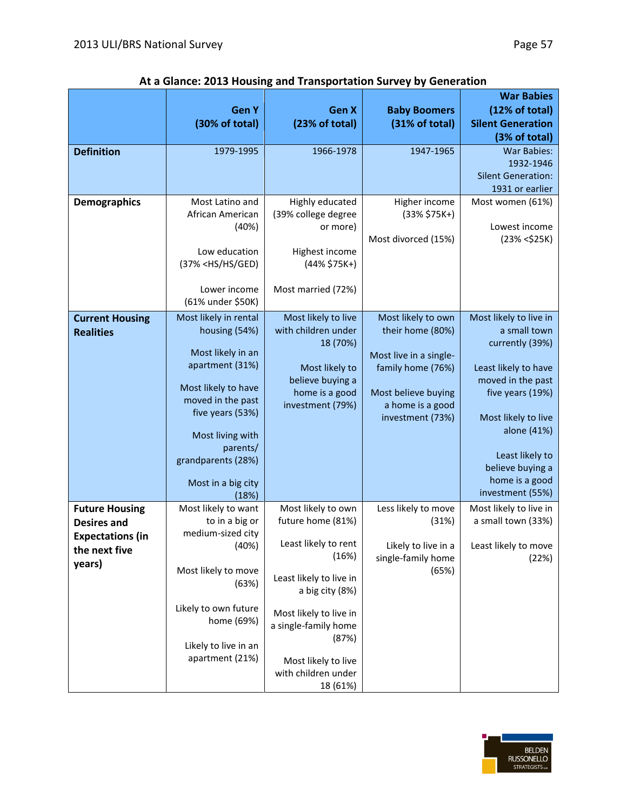|                         |                                                                                         |                                         |                              | <b>War Babies</b>                            |
|-------------------------|-----------------------------------------------------------------------------------------|-----------------------------------------|------------------------------|----------------------------------------------|
|                         | <b>GenY</b>                                                                             | Gen X                                   | <b>Baby Boomers</b>          | (12% of total)                               |
|                         | (30% of total)                                                                          | (23% of total)                          | (31% of total)               | <b>Silent Generation</b><br>(3% of total)    |
| <b>Definition</b>       | 1979-1995                                                                               | 1966-1978                               | 1947-1965                    | <b>War Babies:</b>                           |
|                         |                                                                                         |                                         |                              | 1932-1946                                    |
|                         |                                                                                         |                                         |                              | <b>Silent Generation:</b>                    |
|                         |                                                                                         |                                         |                              | 1931 or earlier                              |
| <b>Demographics</b>     | Most Latino and                                                                         | Highly educated                         | Higher income                | Most women (61%)                             |
|                         | African American                                                                        | (39% college degree                     | $(33% $75K+)$                |                                              |
|                         | (40%)                                                                                   | or more)                                |                              | Lowest income                                |
|                         | Low education                                                                           | Highest income                          | Most divorced (15%)          | (23% < \$25K)                                |
|                         | (37% <hs ged)<="" hs="" th=""><th><math>(44% \$75K+)</math></th><th></th><th></th></hs> | $(44% $75K+)$                           |                              |                                              |
|                         |                                                                                         |                                         |                              |                                              |
|                         | Lower income                                                                            | Most married (72%)                      |                              |                                              |
|                         | (61% under \$50K)                                                                       |                                         |                              |                                              |
| <b>Current Housing</b>  | Most likely in rental                                                                   | Most likely to live                     | Most likely to own           | Most likely to live in                       |
| <b>Realities</b>        | housing (54%)                                                                           | with children under                     | their home (80%)             | a small town                                 |
|                         |                                                                                         | 18 (70%)                                |                              | currently (39%)                              |
|                         | Most likely in an<br>apartment (31%)                                                    |                                         | Most live in a single-       |                                              |
|                         |                                                                                         | Most likely to                          | family home (76%)            | Least likely to have<br>moved in the past    |
|                         | Most likely to have                                                                     | believe buying a<br>home is a good      | Most believe buying          | five years (19%)                             |
|                         | moved in the past                                                                       | investment (79%)                        | a home is a good             |                                              |
|                         | five years (53%)                                                                        |                                         | investment (73%)             | Most likely to live                          |
|                         | Most living with                                                                        |                                         |                              | alone (41%)                                  |
|                         | parents/                                                                                |                                         |                              |                                              |
|                         | grandparents (28%)                                                                      |                                         |                              | Least likely to                              |
|                         |                                                                                         |                                         |                              | believe buying a                             |
|                         | Most in a big city                                                                      |                                         |                              | home is a good                               |
|                         | (18%)                                                                                   |                                         |                              | investment (55%)                             |
| <b>Future Housing</b>   | Most likely to want<br>to in a big or                                                   | Most likely to own<br>future home (81%) | Less likely to move<br>(31%) | Most likely to live in<br>a small town (33%) |
| <b>Desires and</b>      | medium-sized city                                                                       |                                         |                              |                                              |
| <b>Expectations (in</b> | (40%)                                                                                   | Least likely to rent                    | Likely to live in a          | Least likely to move                         |
| the next five<br>years) |                                                                                         | (16%)                                   | single-family home           | (22%)                                        |
|                         | Most likely to move                                                                     | Least likely to live in                 | (65%)                        |                                              |
|                         | (63%)                                                                                   | a big city (8%)                         |                              |                                              |
|                         |                                                                                         |                                         |                              |                                              |
|                         | Likely to own future                                                                    | Most likely to live in                  |                              |                                              |
|                         | home (69%)                                                                              | a single-family home                    |                              |                                              |
|                         | Likely to live in an                                                                    | (87%)                                   |                              |                                              |
|                         | apartment (21%)                                                                         | Most likely to live                     |                              |                                              |
|                         |                                                                                         | with children under                     |                              |                                              |
|                         |                                                                                         | 18 (61%)                                |                              |                                              |

#### **At a Glance: 2013 Housing and Transportation Survey by Generation**

![](_page_58_Picture_4.jpeg)